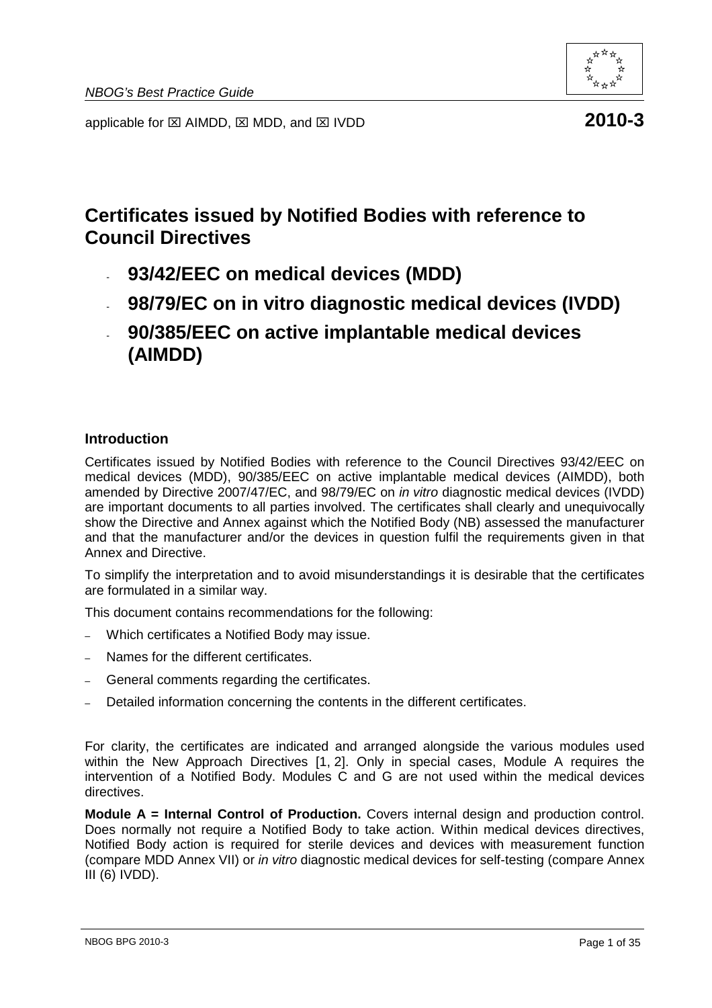

applicable for  $\boxtimes$  AIMDD,  $\boxtimes$  MDD, and  $\boxtimes$  IVDD **2010-3** 

# **Certificates issued by Notified Bodies with reference to Council Directives**

- **93/42/EEC on medical devices (MDD)**
- **98/79/EC on in vitro diagnostic medical devices (IVDD)**
- **90/385/EEC on active implantable medical devices (AIMDD)**

#### **Introduction**

Certificates issued by Notified Bodies with reference to the Council Directives 93/42/EEC on medical devices (MDD), 90/385/EEC on active implantable medical devices (AIMDD), both amended by Directive 2007/47/EC, and 98/79/EC on in vitro diagnostic medical devices (IVDD) are important documents to all parties involved. The certificates shall clearly and unequivocally show the Directive and Annex against which the Notified Body (NB) assessed the manufacturer and that the manufacturer and/or the devices in question fulfil the requirements given in that Annex and Directive.

To simplify the interpretation and to avoid misunderstandings it is desirable that the certificates are formulated in a similar way.

This document contains recommendations for the following:

- Which certificates a Notified Body may issue.
- Names for the different certificates.
- General comments regarding the certificates.
- Detailed information concerning the contents in the different certificates.

For clarity, the certificates are indicated and arranged alongside the various modules used within the New Approach Directives [1, 2]. Only in special cases, Module A requires the intervention of a Notified Body. Modules C and G are not used within the medical devices directives.

**Module A = Internal Control of Production.** Covers internal design and production control. Does normally not require a Notified Body to take action. Within medical devices directives, Notified Body action is required for sterile devices and devices with measurement function (compare MDD Annex VII) or in vitro diagnostic medical devices for self-testing (compare Annex III (6) IVDD).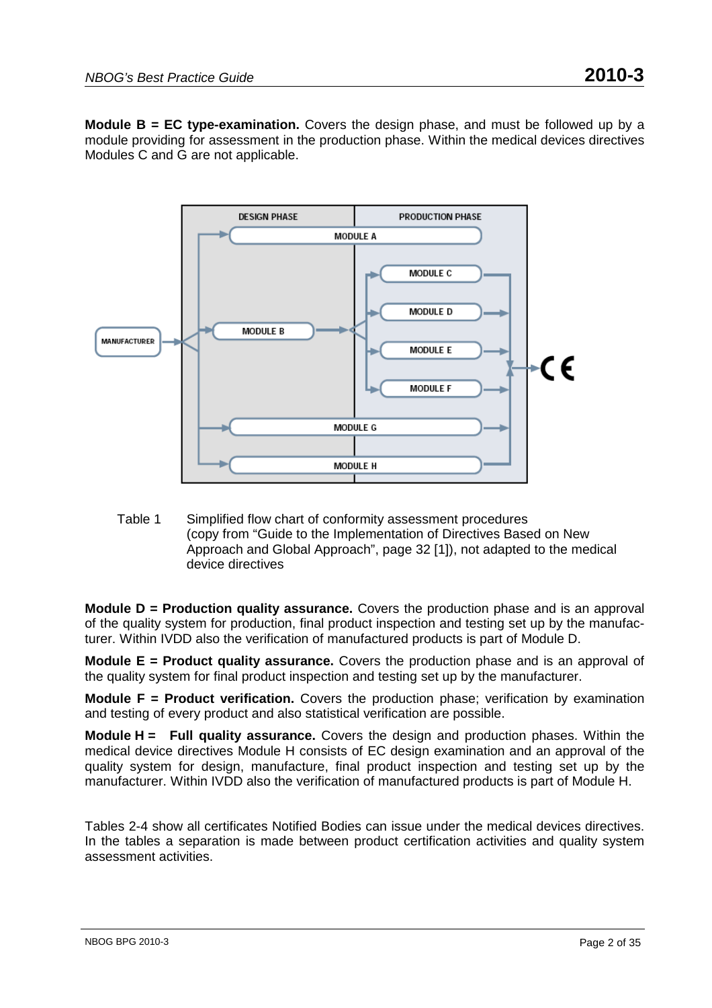**Module B = EC type-examination.** Covers the design phase, and must be followed up by a module providing for assessment in the production phase. Within the medical devices directives Modules C and G are not applicable.



Table 1 Simplified flow chart of conformity assessment procedures (copy from "Guide to the Implementation of Directives Based on New Approach and Global Approach", page 32 [1]), not adapted to the medical device directives

**Module D = Production quality assurance.** Covers the production phase and is an approval of the quality system for production, final product inspection and testing set up by the manufacturer. Within IVDD also the verification of manufactured products is part of Module D.

**Module E = Product quality assurance.** Covers the production phase and is an approval of the quality system for final product inspection and testing set up by the manufacturer.

**Module F = Product verification.** Covers the production phase; verification by examination and testing of every product and also statistical verification are possible.

**Module H = Full quality assurance.** Covers the design and production phases. Within the medical device directives Module H consists of EC design examination and an approval of the quality system for design, manufacture, final product inspection and testing set up by the manufacturer. Within IVDD also the verification of manufactured products is part of Module H.

Tables 2-4 show all certificates Notified Bodies can issue under the medical devices directives. In the tables a separation is made between product certification activities and quality system assessment activities.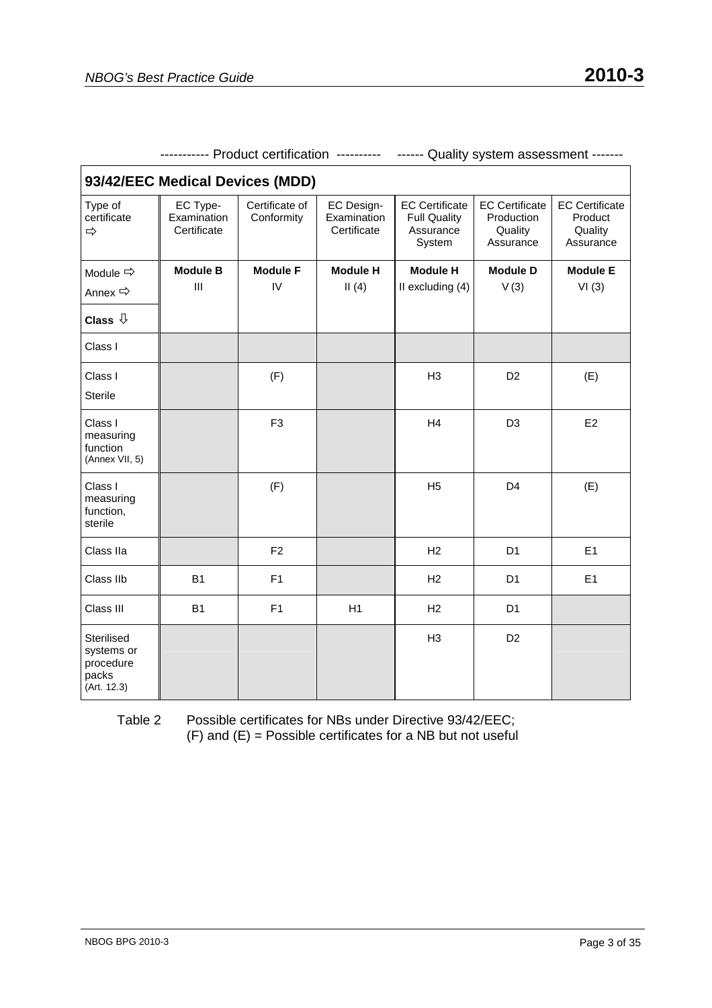| 93/42/EEC Medical Devices (MDD)                               |                                        |                              |                                                 |                                                                     |                                                             |                                                          |
|---------------------------------------------------------------|----------------------------------------|------------------------------|-------------------------------------------------|---------------------------------------------------------------------|-------------------------------------------------------------|----------------------------------------------------------|
| Type of<br>certificate<br>⇨                                   | EC Type-<br>Examination<br>Certificate | Certificate of<br>Conformity | <b>EC Design-</b><br>Examination<br>Certificate | <b>EC Certificate</b><br><b>Full Quality</b><br>Assurance<br>System | <b>EC Certificate</b><br>Production<br>Quality<br>Assurance | <b>EC Certificate</b><br>Product<br>Quality<br>Assurance |
| Module $\Rightarrow$                                          | <b>Module B</b>                        | <b>Module F</b>              | <b>Module H</b>                                 | <b>Module H</b>                                                     | <b>Module D</b>                                             | <b>Module E</b>                                          |
| Annex →                                                       | III                                    | IV                           | II(4)                                           | II excluding (4)                                                    | V(3)                                                        | VI(3)                                                    |
| Class $\sqrt{1}$                                              |                                        |                              |                                                 |                                                                     |                                                             |                                                          |
| Class I                                                       |                                        |                              |                                                 |                                                                     |                                                             |                                                          |
| Class I                                                       |                                        | (F)                          |                                                 | H <sub>3</sub>                                                      | D <sub>2</sub>                                              | (E)                                                      |
| <b>Sterile</b>                                                |                                        |                              |                                                 |                                                                     |                                                             |                                                          |
| Class I<br>measuring<br>function<br>(Annex VII, 5)            |                                        | F <sub>3</sub>               |                                                 | H4                                                                  | D <sub>3</sub>                                              | E <sub>2</sub>                                           |
| Class I<br>measuring<br>function,<br>sterile                  |                                        | (F)                          |                                                 | H <sub>5</sub>                                                      | D <sub>4</sub>                                              | (E)                                                      |
| Class IIa                                                     |                                        | F <sub>2</sub>               |                                                 | H2                                                                  | D <sub>1</sub>                                              | E1                                                       |
| Class IIb                                                     | <b>B1</b>                              | F <sub>1</sub>               |                                                 | H2                                                                  | D <sub>1</sub>                                              | E1                                                       |
| Class III                                                     | <b>B1</b>                              | F1                           | H1                                              | H2                                                                  | D <sub>1</sub>                                              |                                                          |
| Sterilised<br>systems or<br>procedure<br>packs<br>(Art. 12.3) |                                        |                              |                                                 | H3                                                                  | D <sub>2</sub>                                              |                                                          |

----------- Product certification ---------- ------ Quality system assessment -------

Table 2 Possible certificates for NBs under Directive 93/42/EEC;  $(F)$  and  $(E)$  = Possible certificates for a NB but not useful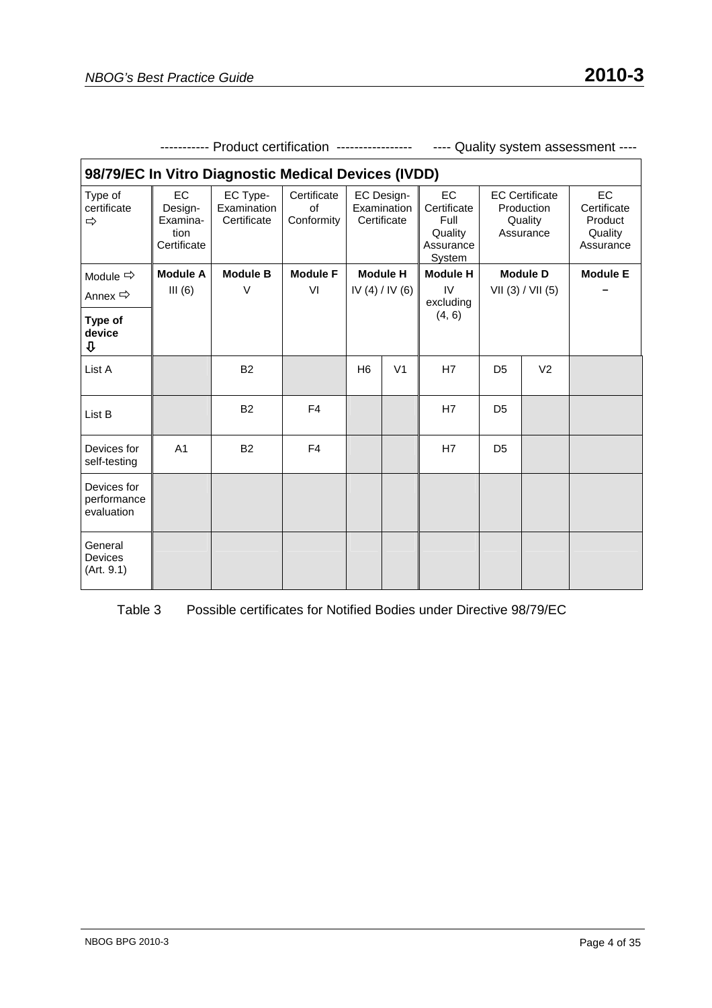| 98/79/EC In Vitro Diagnostic Medical Devices (IVDD) |                                                  |                                        |                                 |                                          |                |                                                             |                |                                                             |                                                      |
|-----------------------------------------------------|--------------------------------------------------|----------------------------------------|---------------------------------|------------------------------------------|----------------|-------------------------------------------------------------|----------------|-------------------------------------------------------------|------------------------------------------------------|
| Type of<br>certificate<br>⇨                         | EC<br>Design-<br>Examina-<br>tion<br>Certificate | EC Type-<br>Examination<br>Certificate | Certificate<br>of<br>Conformity | EC Design-<br>Examination<br>Certificate |                | EC<br>Certificate<br>Full<br>Quality<br>Assurance<br>System |                | <b>EC Certificate</b><br>Production<br>Quality<br>Assurance | EC<br>Certificate<br>Product<br>Quality<br>Assurance |
| Module $\Rightarrow$                                | <b>Module A</b>                                  | <b>Module B</b>                        | <b>Module F</b>                 | <b>Module H</b>                          |                | <b>Module H</b>                                             |                | <b>Module D</b>                                             | <b>Module E</b>                                      |
| Annex $\Rightarrow$                                 | III(6)                                           | $\vee$                                 | VI                              |                                          | IV(4)/IV(6)    | IV<br>excluding                                             |                | VII (3) / VII (5)                                           |                                                      |
| Type of<br>device<br>⇩                              |                                                  |                                        |                                 |                                          |                | (4, 6)                                                      |                |                                                             |                                                      |
| List A                                              |                                                  | <b>B2</b>                              |                                 | H <sub>6</sub>                           | V <sub>1</sub> | H7                                                          | D <sub>5</sub> | V <sub>2</sub>                                              |                                                      |
| List B                                              |                                                  | <b>B2</b>                              | F <sub>4</sub>                  |                                          |                | H7                                                          | D <sub>5</sub> |                                                             |                                                      |
| Devices for<br>self-testing                         | A <sub>1</sub>                                   | <b>B2</b>                              | F4                              |                                          |                | H7                                                          | D <sub>5</sub> |                                                             |                                                      |
| Devices for<br>performance<br>evaluation            |                                                  |                                        |                                 |                                          |                |                                                             |                |                                                             |                                                      |
| General<br><b>Devices</b><br>(Art. 9.1)             |                                                  |                                        |                                 |                                          |                |                                                             |                |                                                             |                                                      |

----------- Product certification ----------------- ---- Quality system assessment ----

Table 3 Possible certificates for Notified Bodies under Directive 98/79/EC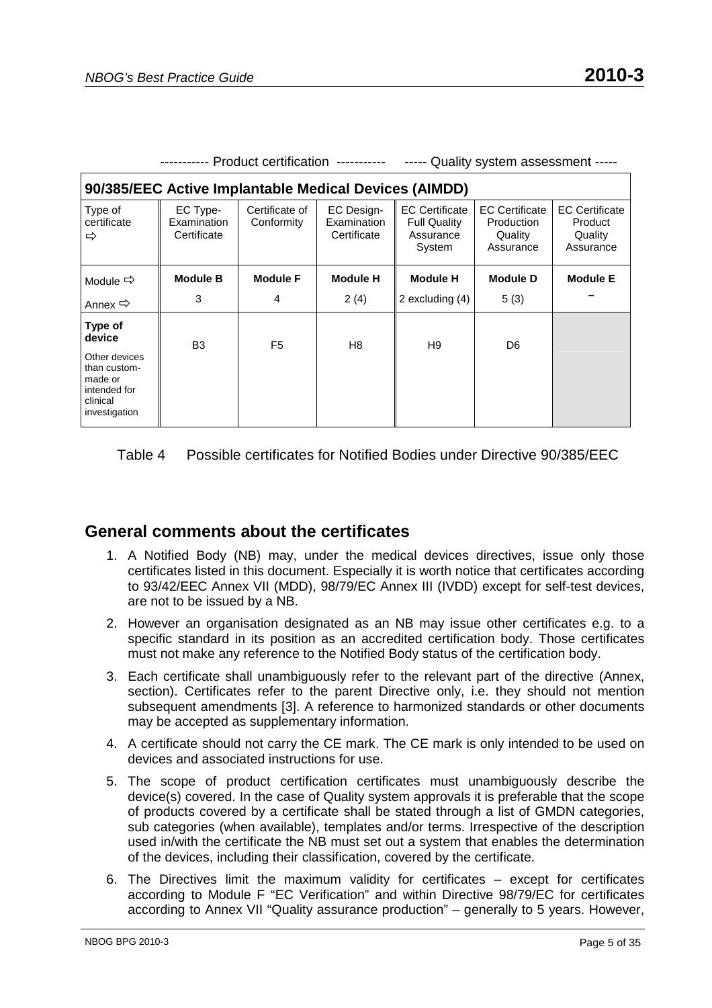|                                                                                                            | ---------- Product certification ----------- |                              |                                                 |                                                                     | Quality system assessment -----                             |                                                          |  |  |
|------------------------------------------------------------------------------------------------------------|----------------------------------------------|------------------------------|-------------------------------------------------|---------------------------------------------------------------------|-------------------------------------------------------------|----------------------------------------------------------|--|--|
| 90/385/EEC Active Implantable Medical Devices (AIMDD)                                                      |                                              |                              |                                                 |                                                                     |                                                             |                                                          |  |  |
| Type of<br>certificate<br>⇨                                                                                | EC Type-<br>Examination<br>Certificate       | Certificate of<br>Conformity | <b>EC Design-</b><br>Examination<br>Certificate | <b>EC Certificate</b><br><b>Full Quality</b><br>Assurance<br>System | <b>EC Certificate</b><br>Production<br>Quality<br>Assurance | <b>EC Certificate</b><br>Product<br>Quality<br>Assurance |  |  |
| Module $\Rightarrow$                                                                                       | <b>Module B</b>                              | <b>Module F</b>              | <b>Module H</b>                                 | <b>Module H</b>                                                     | <b>Module D</b>                                             | <b>Module E</b>                                          |  |  |
| Annex $\Rightarrow$                                                                                        | 3                                            | 4                            | 2(4)                                            | 2 excluding (4)                                                     | 5(3)                                                        |                                                          |  |  |
| Type of<br>device<br>Other devices<br>than custom-<br>made or<br>intended for<br>clinical<br>investigation | B <sub>3</sub>                               | F <sub>5</sub>               | H <sub>8</sub>                                  | H9                                                                  | D <sub>6</sub>                                              |                                                          |  |  |

Table 4 Possible certificates for Notified Bodies under Directive 90/385/EEC

#### **General comments about the certificates**

- 1. A Notified Body (NB) may, under the medical devices directives, issue only those certificates listed in this document. Especially it is worth notice that certificates according to 93/42/EEC Annex VII (MDD), 98/79/EC Annex III (IVDD) except for self-test devices, are not to be issued by a NB.
- 2. However an organisation designated as an NB may issue other certificates e.g. to a specific standard in its position as an accredited certification body. Those certificates must not make any reference to the Notified Body status of the certification body.
- 3. Each certificate shall unambiguously refer to the relevant part of the directive (Annex, section). Certificates refer to the parent Directive only, i.e. they should not mention subsequent amendments [3]. A reference to harmonized standards or other documents may be accepted as supplementary information.
- 4. A certificate should not carry the CE mark. The CE mark is only intended to be used on devices and associated instructions for use.
- 5. The scope of product certification certificates must unambiguously describe the device(s) covered. In the case of Quality system approvals it is preferable that the scope of products covered by a certificate shall be stated through a list of GMDN categories, sub categories (when available), templates and/or terms. Irrespective of the description used in/with the certificate the NB must set out a system that enables the determination of the devices, including their classification, covered by the certificate.
- 6. The Directives limit the maximum validity for certificates except for certificates according to Module F "EC Verification" and within Directive 98/79/EC for certificates according to Annex VII "Quality assurance production" – generally to 5 years. However,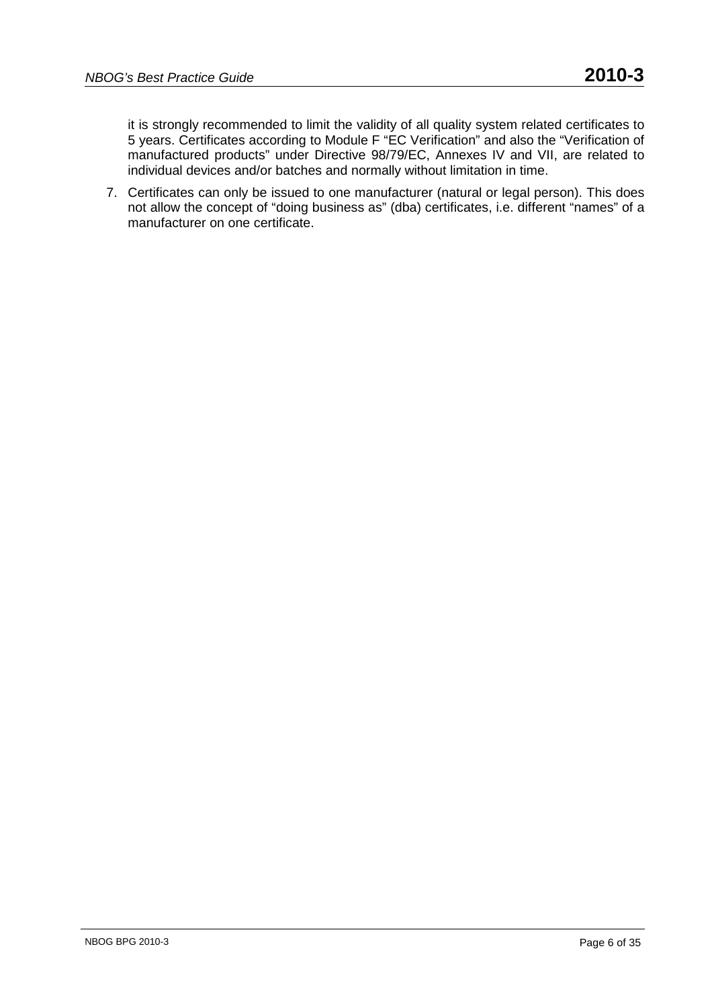it is strongly recommended to limit the validity of all quality system related certificates to 5 years. Certificates according to Module F "EC Verification" and also the "Verification of manufactured products" under Directive 98/79/EC, Annexes IV and VII, are related to individual devices and/or batches and normally without limitation in time.

7. Certificates can only be issued to one manufacturer (natural or legal person). This does not allow the concept of "doing business as" (dba) certificates, i.e. different "names" of a manufacturer on one certificate.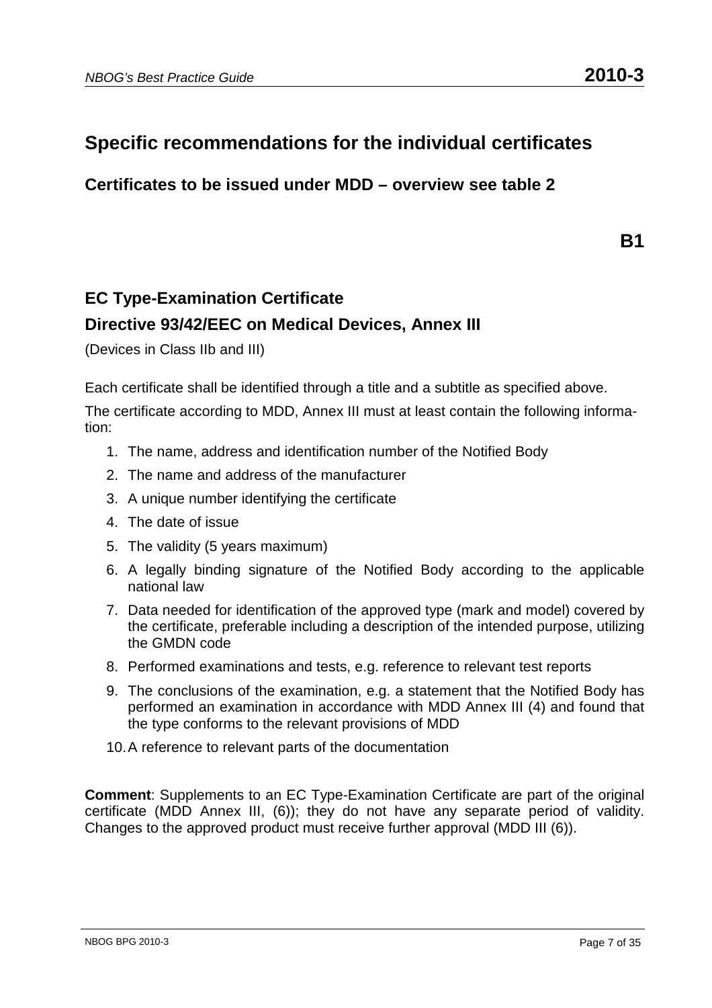# **Specific recommendations for the individual certificates**

**Certificates to be issued under MDD – overview see table 2** 

**B1** 

# **EC Type-Examination Certificate Directive 93/42/EEC on Medical Devices, Annex III**

(Devices in Class IIb and III)

Each certificate shall be identified through a title and a subtitle as specified above.

The certificate according to MDD, Annex III must at least contain the following information:

- 1. The name, address and identification number of the Notified Body
- 2. The name and address of the manufacturer
- 3. A unique number identifying the certificate
- 4. The date of issue
- 5. The validity (5 years maximum)
- 6. A legally binding signature of the Notified Body according to the applicable national law
- 7. Data needed for identification of the approved type (mark and model) covered by the certificate, preferable including a description of the intended purpose, utilizing the GMDN code
- 8. Performed examinations and tests, e.g. reference to relevant test reports
- 9. The conclusions of the examination, e.g. a statement that the Notified Body has performed an examination in accordance with MDD Annex III (4) and found that the type conforms to the relevant provisions of MDD
- 10. A reference to relevant parts of the documentation

**Comment**: Supplements to an EC Type-Examination Certificate are part of the original certificate (MDD Annex III, (6)); they do not have any separate period of validity. Changes to the approved product must receive further approval (MDD III (6)).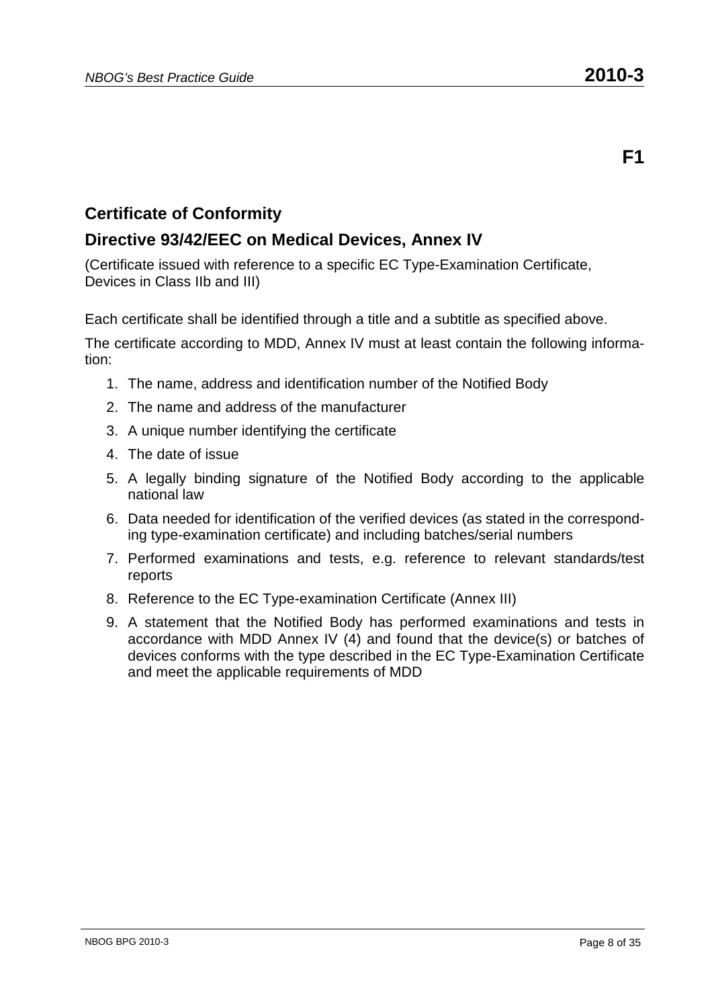#### **Directive 93/42/EEC on Medical Devices, Annex IV**

(Certificate issued with reference to a specific EC Type-Examination Certificate, Devices in Class IIb and III)

Each certificate shall be identified through a title and a subtitle as specified above.

- 1. The name, address and identification number of the Notified Body
- 2. The name and address of the manufacturer
- 3. A unique number identifying the certificate
- 4. The date of issue
- 5. A legally binding signature of the Notified Body according to the applicable national law
- 6. Data needed for identification of the verified devices (as stated in the corresponding type-examination certificate) and including batches/serial numbers
- 7. Performed examinations and tests, e.g. reference to relevant standards/test reports
- 8. Reference to the EC Type-examination Certificate (Annex III)
- 9. A statement that the Notified Body has performed examinations and tests in accordance with MDD Annex IV (4) and found that the device(s) or batches of devices conforms with the type described in the EC Type-Examination Certificate and meet the applicable requirements of MDD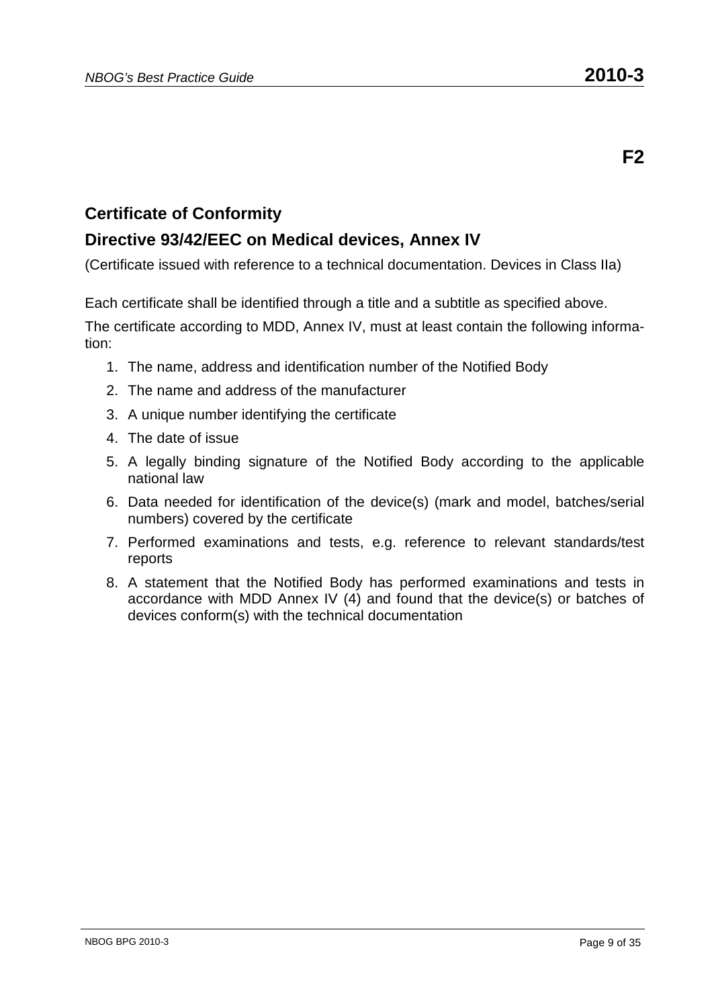### **Directive 93/42/EEC on Medical devices, Annex IV**

(Certificate issued with reference to a technical documentation. Devices in Class IIa)

Each certificate shall be identified through a title and a subtitle as specified above.

- 1. The name, address and identification number of the Notified Body
- 2. The name and address of the manufacturer
- 3. A unique number identifying the certificate
- 4. The date of issue
- 5. A legally binding signature of the Notified Body according to the applicable national law
- 6. Data needed for identification of the device(s) (mark and model, batches/serial numbers) covered by the certificate
- 7. Performed examinations and tests, e.g. reference to relevant standards/test reports
- 8. A statement that the Notified Body has performed examinations and tests in accordance with MDD Annex IV (4) and found that the device(s) or batches of devices conform(s) with the technical documentation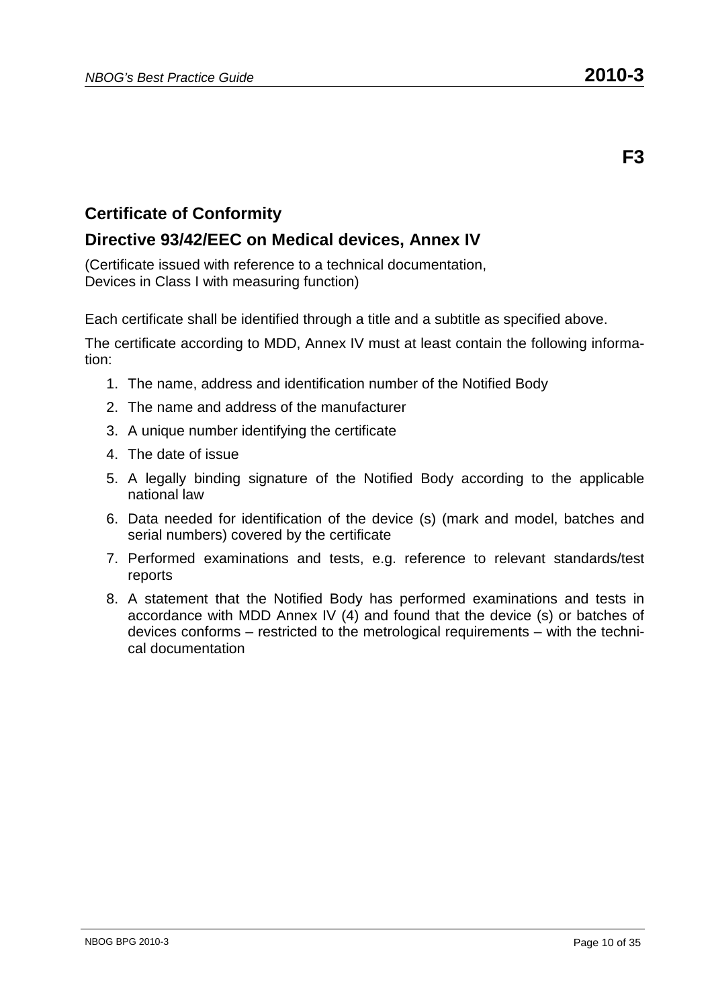#### **Directive 93/42/EEC on Medical devices, Annex IV**

(Certificate issued with reference to a technical documentation, Devices in Class I with measuring function)

Each certificate shall be identified through a title and a subtitle as specified above.

- 1. The name, address and identification number of the Notified Body
- 2. The name and address of the manufacturer
- 3. A unique number identifying the certificate
- 4. The date of issue
- 5. A legally binding signature of the Notified Body according to the applicable national law
- 6. Data needed for identification of the device (s) (mark and model, batches and serial numbers) covered by the certificate
- 7. Performed examinations and tests, e.g. reference to relevant standards/test reports
- 8. A statement that the Notified Body has performed examinations and tests in accordance with MDD Annex IV (4) and found that the device (s) or batches of devices conforms – restricted to the metrological requirements – with the technical documentation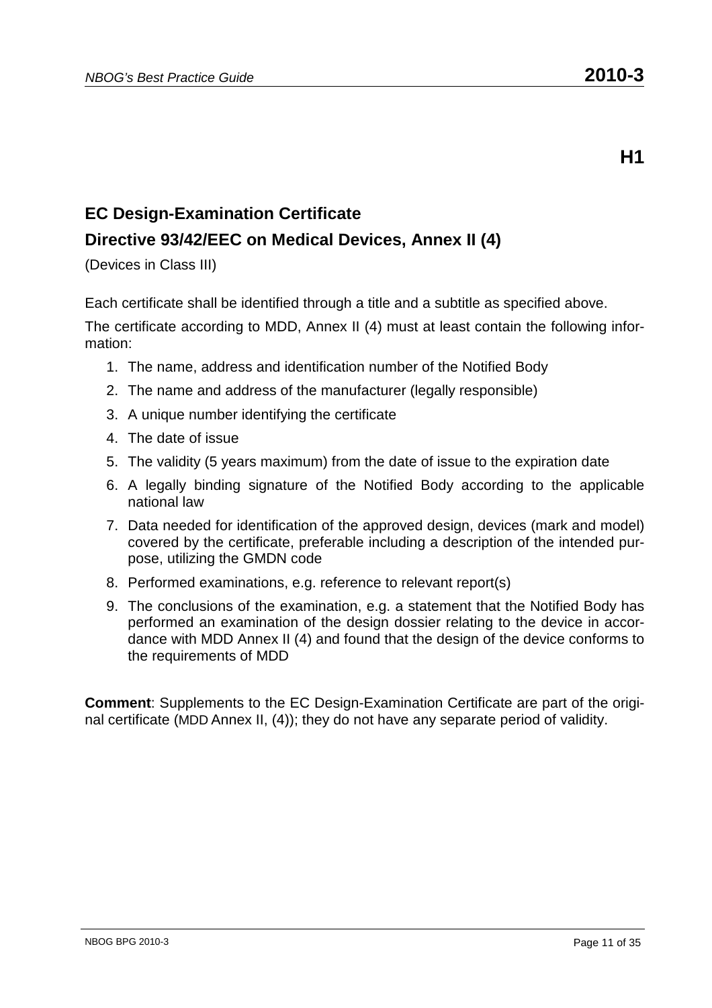**H1** 

# **EC Design-Examination Certificate**

### **Directive 93/42/EEC on Medical Devices, Annex II (4)**

(Devices in Class III)

Each certificate shall be identified through a title and a subtitle as specified above.

The certificate according to MDD, Annex II (4) must at least contain the following information:

- 1. The name, address and identification number of the Notified Body
- 2. The name and address of the manufacturer (legally responsible)
- 3. A unique number identifying the certificate
- 4. The date of issue
- 5. The validity (5 years maximum) from the date of issue to the expiration date
- 6. A legally binding signature of the Notified Body according to the applicable national law
- 7. Data needed for identification of the approved design, devices (mark and model) covered by the certificate, preferable including a description of the intended purpose, utilizing the GMDN code
- 8. Performed examinations, e.g. reference to relevant report(s)
- 9. The conclusions of the examination, e.g. a statement that the Notified Body has performed an examination of the design dossier relating to the device in accordance with MDD Annex II (4) and found that the design of the device conforms to the requirements of MDD

**Comment**: Supplements to the EC Design-Examination Certificate are part of the original certificate (MDD Annex II, (4)); they do not have any separate period of validity.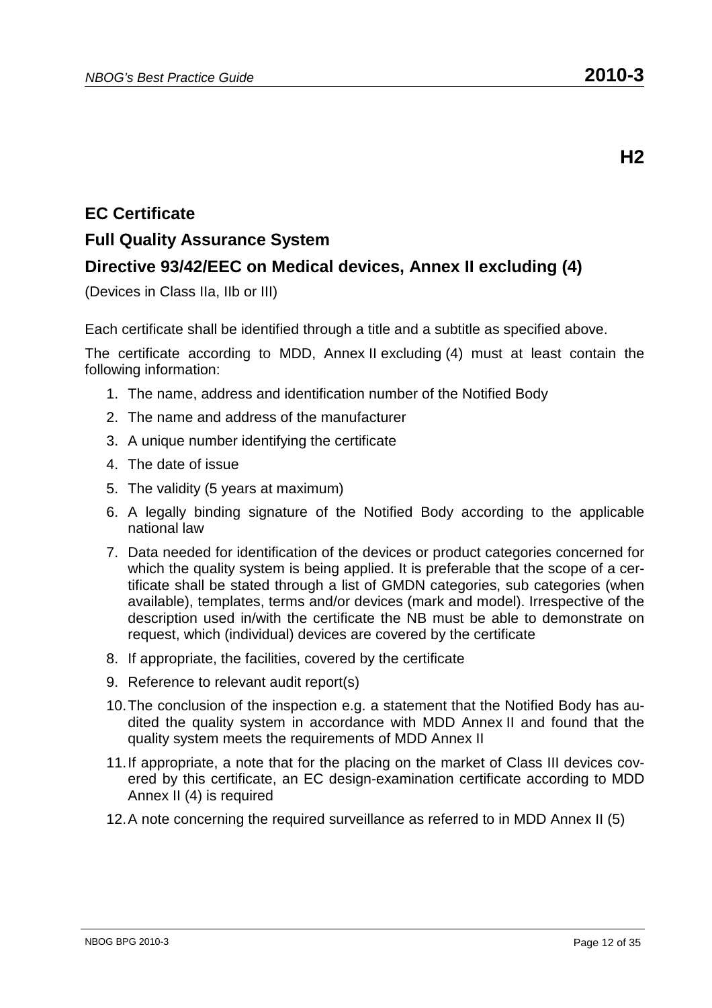# **EC Certificate**

#### **Full Quality Assurance System**

### **Directive 93/42/EEC on Medical devices, Annex II excluding (4)**

(Devices in Class IIa, IIb or III)

Each certificate shall be identified through a title and a subtitle as specified above.

- 1. The name, address and identification number of the Notified Body
- 2. The name and address of the manufacturer
- 3. A unique number identifying the certificate
- 4. The date of issue
- 5. The validity (5 years at maximum)
- 6. A legally binding signature of the Notified Body according to the applicable national law
- 7. Data needed for identification of the devices or product categories concerned for which the quality system is being applied. It is preferable that the scope of a certificate shall be stated through a list of GMDN categories, sub categories (when available), templates, terms and/or devices (mark and model). Irrespective of the description used in/with the certificate the NB must be able to demonstrate on request, which (individual) devices are covered by the certificate
- 8. If appropriate, the facilities, covered by the certificate
- 9. Reference to relevant audit report(s)
- 10. The conclusion of the inspection e.g. a statement that the Notified Body has audited the quality system in accordance with MDD Annex II and found that the quality system meets the requirements of MDD Annex II
- 11. If appropriate, a note that for the placing on the market of Class III devices covered by this certificate, an EC design-examination certificate according to MDD Annex II (4) is required
- 12. A note concerning the required surveillance as referred to in MDD Annex II (5)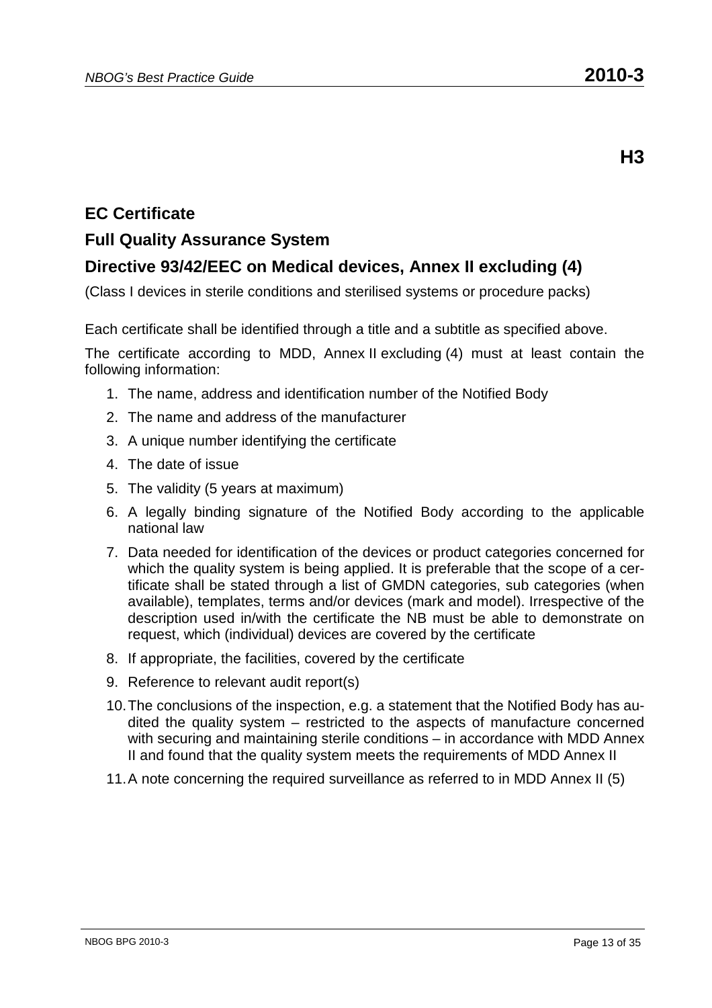**H3** 

# **EC Certificate**

## **Full Quality Assurance System**

# **Directive 93/42/EEC on Medical devices, Annex II excluding (4)**

(Class I devices in sterile conditions and sterilised systems or procedure packs)

Each certificate shall be identified through a title and a subtitle as specified above.

- 1. The name, address and identification number of the Notified Body
- 2. The name and address of the manufacturer
- 3. A unique number identifying the certificate
- 4. The date of issue
- 5. The validity (5 years at maximum)
- 6. A legally binding signature of the Notified Body according to the applicable national law
- 7. Data needed for identification of the devices or product categories concerned for which the quality system is being applied. It is preferable that the scope of a certificate shall be stated through a list of GMDN categories, sub categories (when available), templates, terms and/or devices (mark and model). Irrespective of the description used in/with the certificate the NB must be able to demonstrate on request, which (individual) devices are covered by the certificate
- 8. If appropriate, the facilities, covered by the certificate
- 9. Reference to relevant audit report(s)
- 10. The conclusions of the inspection, e.g. a statement that the Notified Body has audited the quality system – restricted to the aspects of manufacture concerned with securing and maintaining sterile conditions – in accordance with MDD Annex II and found that the quality system meets the requirements of MDD Annex II
- 11. A note concerning the required surveillance as referred to in MDD Annex II (5)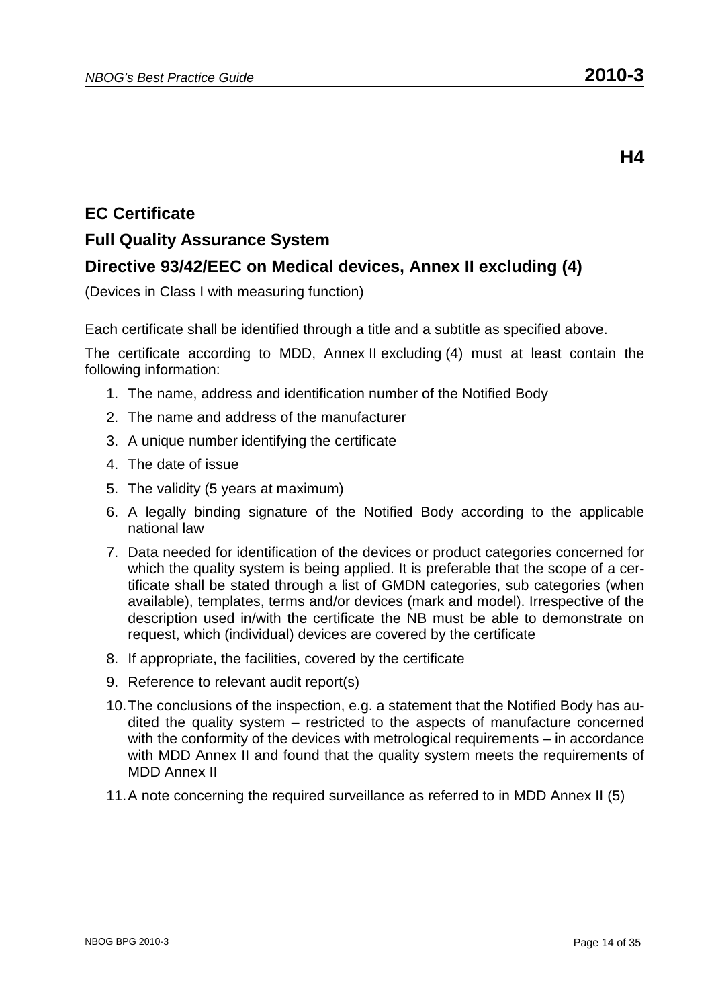# **EC Certificate**

### **Full Quality Assurance System**

# **Directive 93/42/EEC on Medical devices, Annex II excluding (4)**

(Devices in Class I with measuring function)

Each certificate shall be identified through a title and a subtitle as specified above.

- 1. The name, address and identification number of the Notified Body
- 2. The name and address of the manufacturer
- 3. A unique number identifying the certificate
- 4. The date of issue
- 5. The validity (5 years at maximum)
- 6. A legally binding signature of the Notified Body according to the applicable national law
- 7. Data needed for identification of the devices or product categories concerned for which the quality system is being applied. It is preferable that the scope of a certificate shall be stated through a list of GMDN categories, sub categories (when available), templates, terms and/or devices (mark and model). Irrespective of the description used in/with the certificate the NB must be able to demonstrate on request, which (individual) devices are covered by the certificate
- 8. If appropriate, the facilities, covered by the certificate
- 9. Reference to relevant audit report(s)
- 10. The conclusions of the inspection, e.g. a statement that the Notified Body has audited the quality system – restricted to the aspects of manufacture concerned with the conformity of the devices with metrological requirements – in accordance with MDD Annex II and found that the quality system meets the requirements of MDD Annex II
- 11. A note concerning the required surveillance as referred to in MDD Annex II (5)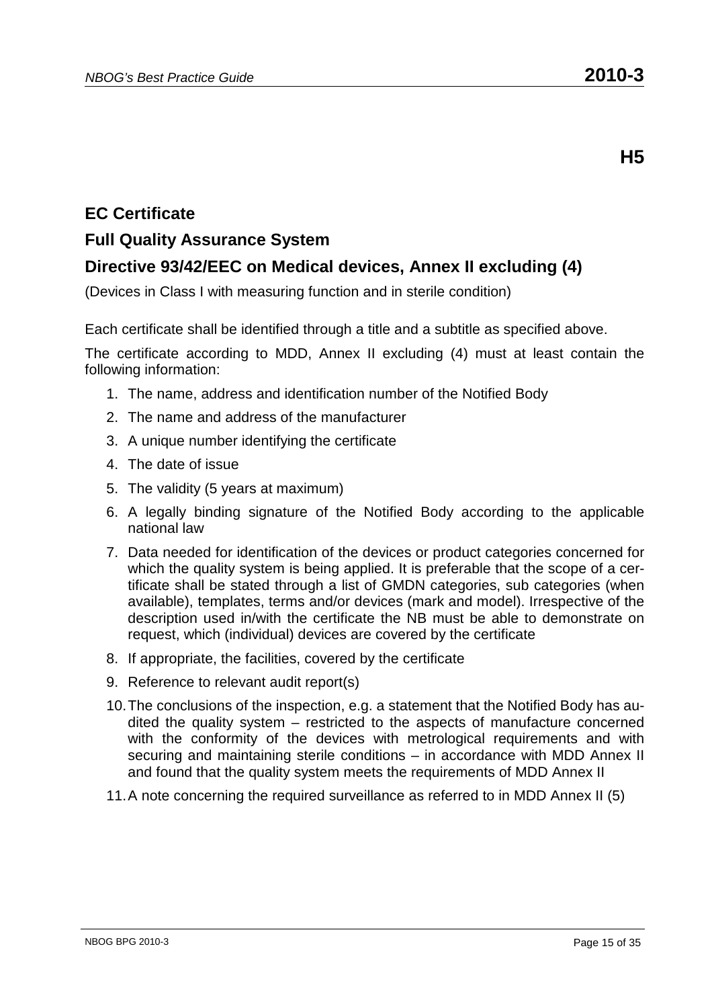**H5** 

# **EC Certificate**

## **Full Quality Assurance System**

### **Directive 93/42/EEC on Medical devices, Annex II excluding (4)**

(Devices in Class I with measuring function and in sterile condition)

Each certificate shall be identified through a title and a subtitle as specified above.

- 1. The name, address and identification number of the Notified Body
- 2. The name and address of the manufacturer
- 3. A unique number identifying the certificate
- 4. The date of issue
- 5. The validity (5 years at maximum)
- 6. A legally binding signature of the Notified Body according to the applicable national law
- 7. Data needed for identification of the devices or product categories concerned for which the quality system is being applied. It is preferable that the scope of a certificate shall be stated through a list of GMDN categories, sub categories (when available), templates, terms and/or devices (mark and model). Irrespective of the description used in/with the certificate the NB must be able to demonstrate on request, which (individual) devices are covered by the certificate
- 8. If appropriate, the facilities, covered by the certificate
- 9. Reference to relevant audit report(s)
- 10. The conclusions of the inspection, e.g. a statement that the Notified Body has audited the quality system – restricted to the aspects of manufacture concerned with the conformity of the devices with metrological requirements and with securing and maintaining sterile conditions – in accordance with MDD Annex II and found that the quality system meets the requirements of MDD Annex II
- 11. A note concerning the required surveillance as referred to in MDD Annex II (5)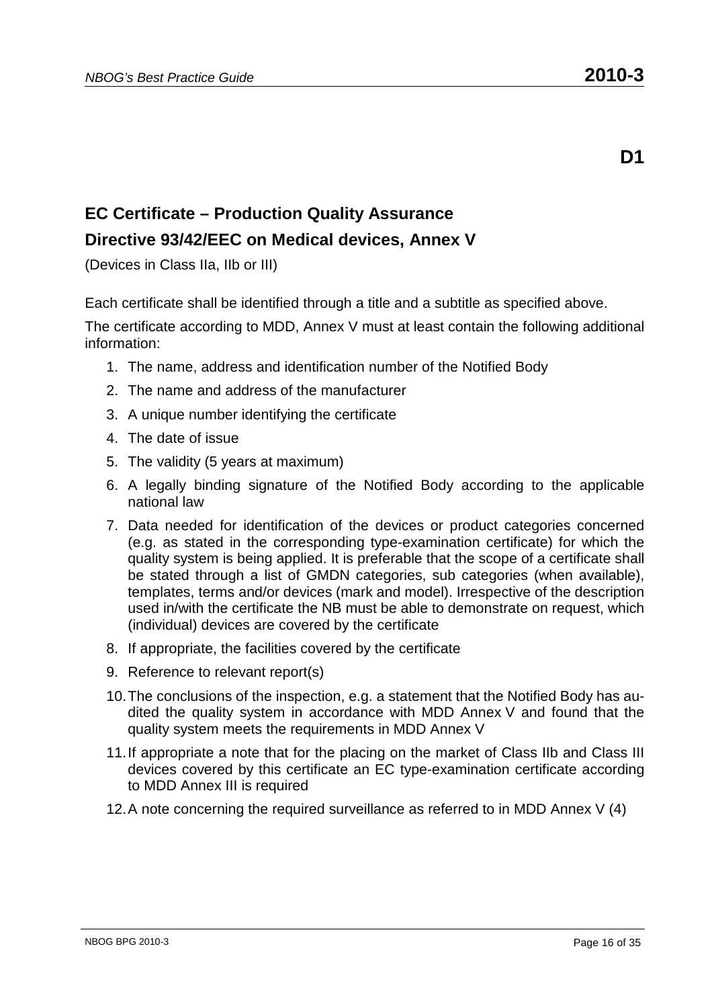# **EC Certificate – Production Quality Assurance Directive 93/42/EEC on Medical devices, Annex V**

(Devices in Class IIa, IIb or III)

Each certificate shall be identified through a title and a subtitle as specified above.

The certificate according to MDD, Annex V must at least contain the following additional information:

- 1. The name, address and identification number of the Notified Body
- 2. The name and address of the manufacturer
- 3. A unique number identifying the certificate
- 4. The date of issue
- 5. The validity (5 years at maximum)
- 6. A legally binding signature of the Notified Body according to the applicable national law
- 7. Data needed for identification of the devices or product categories concerned (e.g. as stated in the corresponding type-examination certificate) for which the quality system is being applied. It is preferable that the scope of a certificate shall be stated through a list of GMDN categories, sub categories (when available), templates, terms and/or devices (mark and model). Irrespective of the description used in/with the certificate the NB must be able to demonstrate on request, which (individual) devices are covered by the certificate
- 8. If appropriate, the facilities covered by the certificate
- 9. Reference to relevant report(s)
- 10. The conclusions of the inspection, e.g. a statement that the Notified Body has audited the quality system in accordance with MDD Annex V and found that the quality system meets the requirements in MDD Annex V
- 11. If appropriate a note that for the placing on the market of Class IIb and Class III devices covered by this certificate an EC type-examination certificate according to MDD Annex III is required
- 12. A note concerning the required surveillance as referred to in MDD Annex V (4)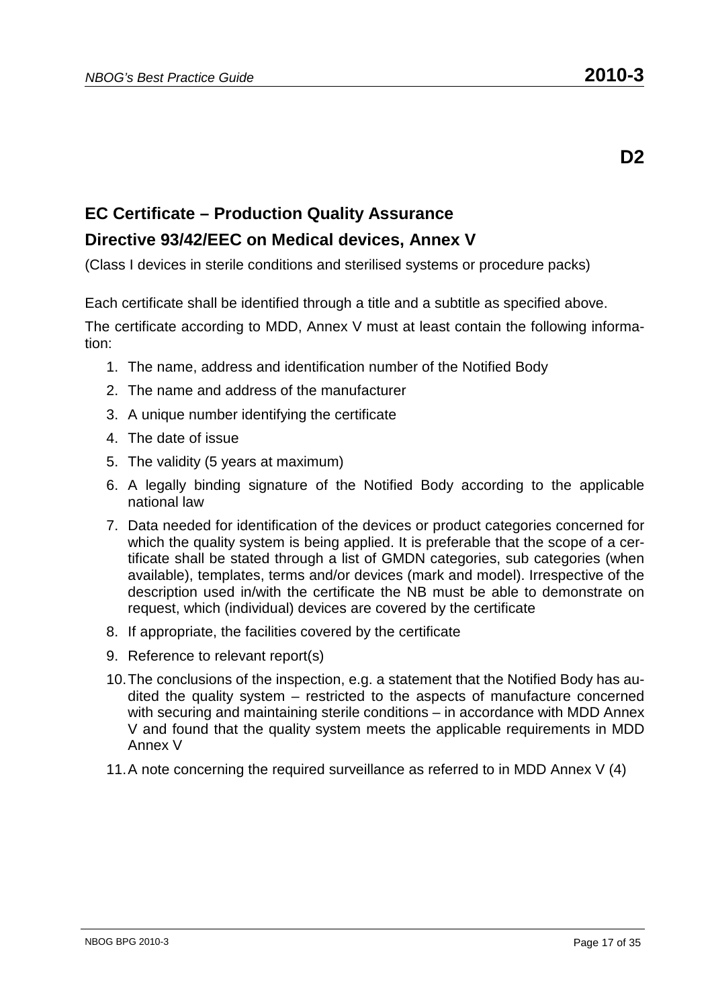# **EC Certificate – Production Quality Assurance Directive 93/42/EEC on Medical devices, Annex V**

(Class I devices in sterile conditions and sterilised systems or procedure packs)

Each certificate shall be identified through a title and a subtitle as specified above.

- 1. The name, address and identification number of the Notified Body
- 2. The name and address of the manufacturer
- 3. A unique number identifying the certificate
- 4. The date of issue
- 5. The validity (5 years at maximum)
- 6. A legally binding signature of the Notified Body according to the applicable national law
- 7. Data needed for identification of the devices or product categories concerned for which the quality system is being applied. It is preferable that the scope of a certificate shall be stated through a list of GMDN categories, sub categories (when available), templates, terms and/or devices (mark and model). Irrespective of the description used in/with the certificate the NB must be able to demonstrate on request, which (individual) devices are covered by the certificate
- 8. If appropriate, the facilities covered by the certificate
- 9. Reference to relevant report(s)
- 10. The conclusions of the inspection, e.g. a statement that the Notified Body has audited the quality system – restricted to the aspects of manufacture concerned with securing and maintaining sterile conditions – in accordance with MDD Annex V and found that the quality system meets the applicable requirements in MDD Annex V
- 11. A note concerning the required surveillance as referred to in MDD Annex V (4)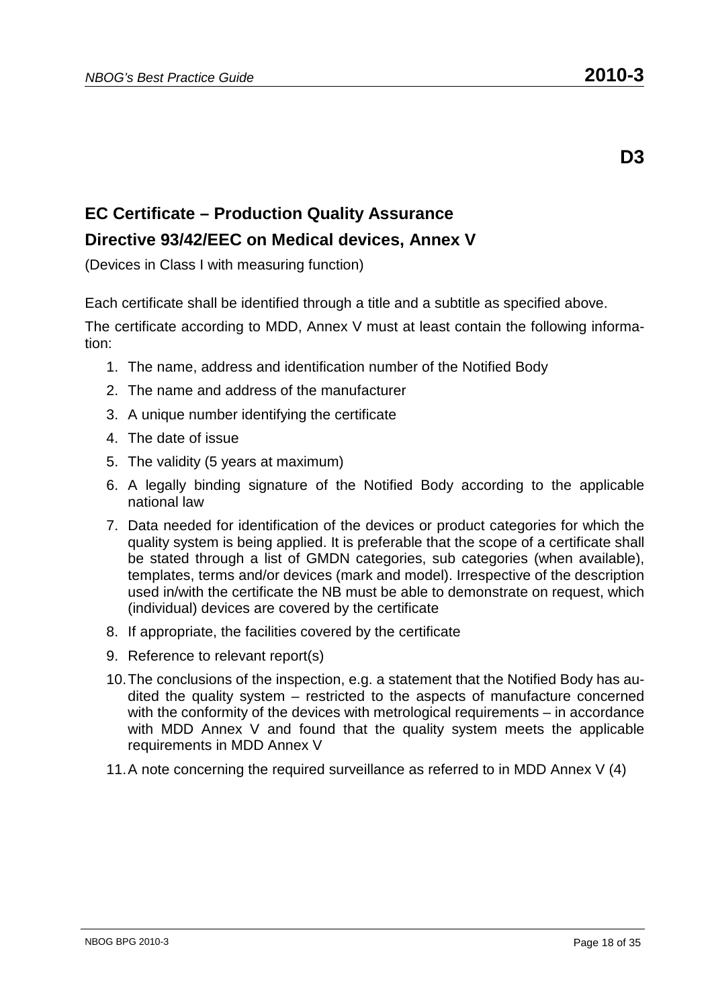# **EC Certificate – Production Quality Assurance Directive 93/42/EEC on Medical devices, Annex V**

(Devices in Class I with measuring function)

Each certificate shall be identified through a title and a subtitle as specified above.

- 1. The name, address and identification number of the Notified Body
- 2. The name and address of the manufacturer
- 3. A unique number identifying the certificate
- 4. The date of issue
- 5. The validity (5 years at maximum)
- 6. A legally binding signature of the Notified Body according to the applicable national law
- 7. Data needed for identification of the devices or product categories for which the quality system is being applied. It is preferable that the scope of a certificate shall be stated through a list of GMDN categories, sub categories (when available), templates, terms and/or devices (mark and model). Irrespective of the description used in/with the certificate the NB must be able to demonstrate on request, which (individual) devices are covered by the certificate
- 8. If appropriate, the facilities covered by the certificate
- 9. Reference to relevant report(s)
- 10. The conclusions of the inspection, e.g. a statement that the Notified Body has audited the quality system – restricted to the aspects of manufacture concerned with the conformity of the devices with metrological requirements – in accordance with MDD Annex V and found that the quality system meets the applicable requirements in MDD Annex V
- 11. A note concerning the required surveillance as referred to in MDD Annex V (4)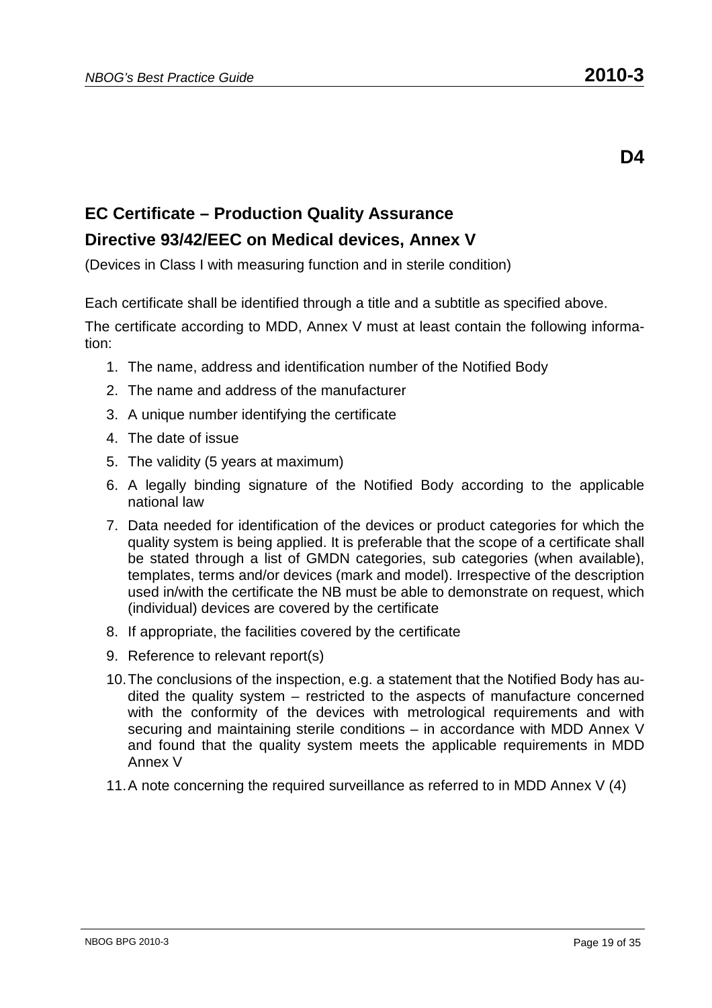**D4** 

# **EC Certificate – Production Quality Assurance Directive 93/42/EEC on Medical devices, Annex V**

(Devices in Class I with measuring function and in sterile condition)

Each certificate shall be identified through a title and a subtitle as specified above.

- 1. The name, address and identification number of the Notified Body
- 2. The name and address of the manufacturer
- 3. A unique number identifying the certificate
- 4. The date of issue
- 5. The validity (5 years at maximum)
- 6. A legally binding signature of the Notified Body according to the applicable national law
- 7. Data needed for identification of the devices or product categories for which the quality system is being applied. It is preferable that the scope of a certificate shall be stated through a list of GMDN categories, sub categories (when available), templates, terms and/or devices (mark and model). Irrespective of the description used in/with the certificate the NB must be able to demonstrate on request, which (individual) devices are covered by the certificate
- 8. If appropriate, the facilities covered by the certificate
- 9. Reference to relevant report(s)
- 10. The conclusions of the inspection, e.g. a statement that the Notified Body has audited the quality system – restricted to the aspects of manufacture concerned with the conformity of the devices with metrological requirements and with securing and maintaining sterile conditions – in accordance with MDD Annex V and found that the quality system meets the applicable requirements in MDD Annex V
- 11. A note concerning the required surveillance as referred to in MDD Annex V (4)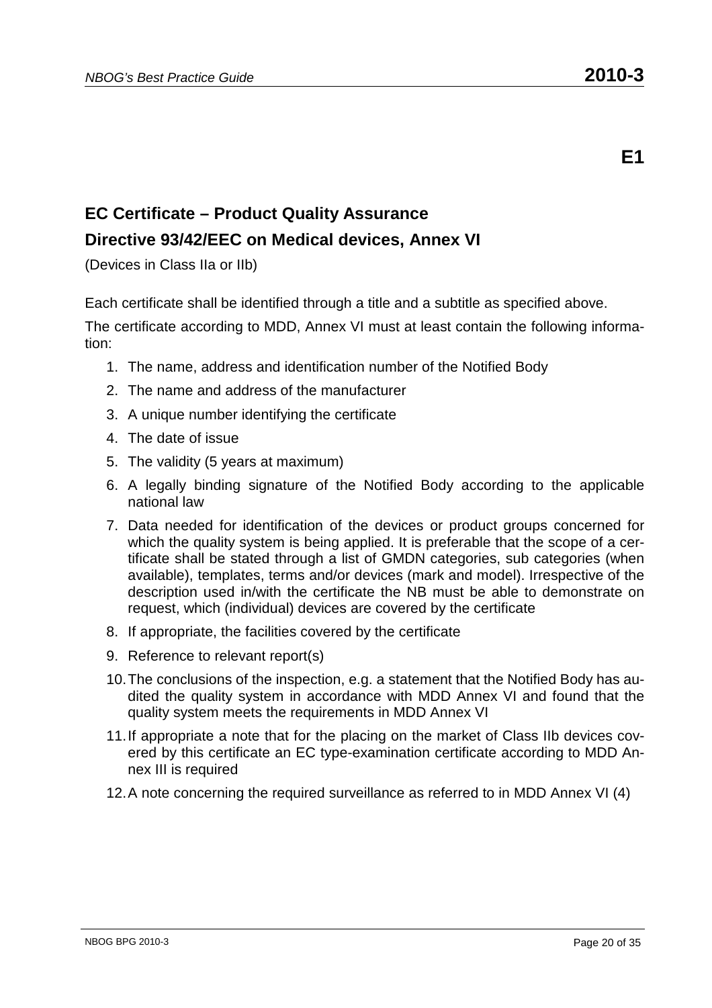# **EC Certificate – Product Quality Assurance Directive 93/42/EEC on Medical devices, Annex VI**

(Devices in Class IIa or IIb)

Each certificate shall be identified through a title and a subtitle as specified above.

- 1. The name, address and identification number of the Notified Body
- 2. The name and address of the manufacturer
- 3. A unique number identifying the certificate
- 4. The date of issue
- 5. The validity (5 years at maximum)
- 6. A legally binding signature of the Notified Body according to the applicable national law
- 7. Data needed for identification of the devices or product groups concerned for which the quality system is being applied. It is preferable that the scope of a certificate shall be stated through a list of GMDN categories, sub categories (when available), templates, terms and/or devices (mark and model). Irrespective of the description used in/with the certificate the NB must be able to demonstrate on request, which (individual) devices are covered by the certificate
- 8. If appropriate, the facilities covered by the certificate
- 9. Reference to relevant report(s)
- 10. The conclusions of the inspection, e.g. a statement that the Notified Body has audited the quality system in accordance with MDD Annex VI and found that the quality system meets the requirements in MDD Annex VI
- 11. If appropriate a note that for the placing on the market of Class IIb devices covered by this certificate an EC type-examination certificate according to MDD Annex III is required
- 12. A note concerning the required surveillance as referred to in MDD Annex VI (4)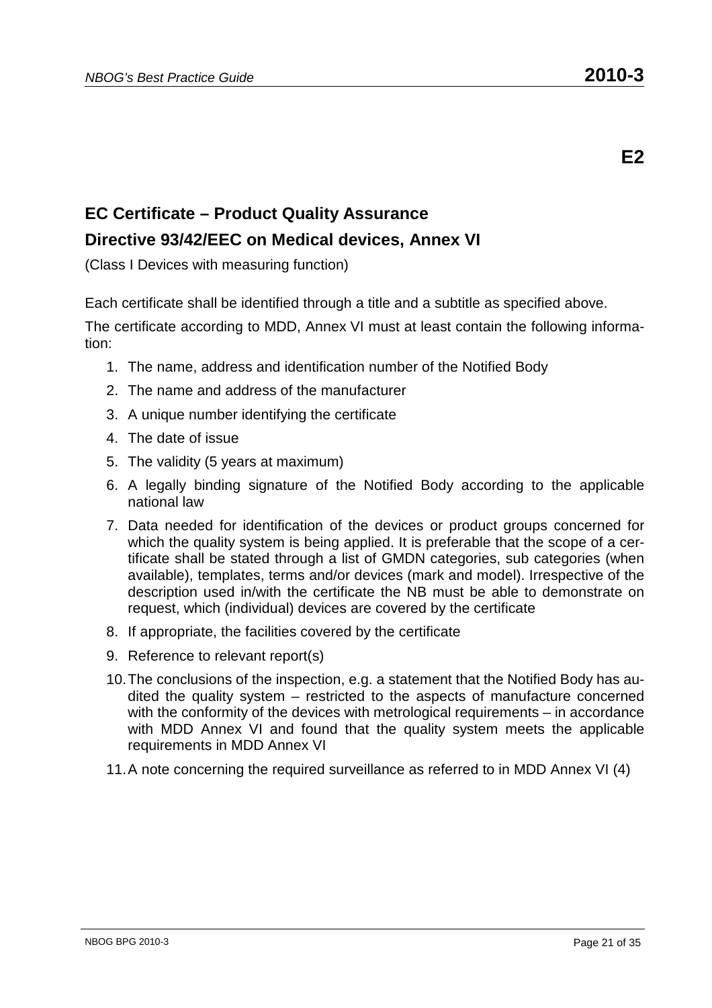# **EC Certificate – Product Quality Assurance Directive 93/42/EEC on Medical devices, Annex VI**

(Class I Devices with measuring function)

Each certificate shall be identified through a title and a subtitle as specified above.

- 1. The name, address and identification number of the Notified Body
- 2. The name and address of the manufacturer
- 3. A unique number identifying the certificate
- 4. The date of issue
- 5. The validity (5 years at maximum)
- 6. A legally binding signature of the Notified Body according to the applicable national law
- 7. Data needed for identification of the devices or product groups concerned for which the quality system is being applied. It is preferable that the scope of a certificate shall be stated through a list of GMDN categories, sub categories (when available), templates, terms and/or devices (mark and model). Irrespective of the description used in/with the certificate the NB must be able to demonstrate on request, which (individual) devices are covered by the certificate
- 8. If appropriate, the facilities covered by the certificate
- 9. Reference to relevant report(s)
- 10. The conclusions of the inspection, e.g. a statement that the Notified Body has audited the quality system – restricted to the aspects of manufacture concerned with the conformity of the devices with metrological requirements – in accordance with MDD Annex VI and found that the quality system meets the applicable requirements in MDD Annex VI
- 11. A note concerning the required surveillance as referred to in MDD Annex VI (4)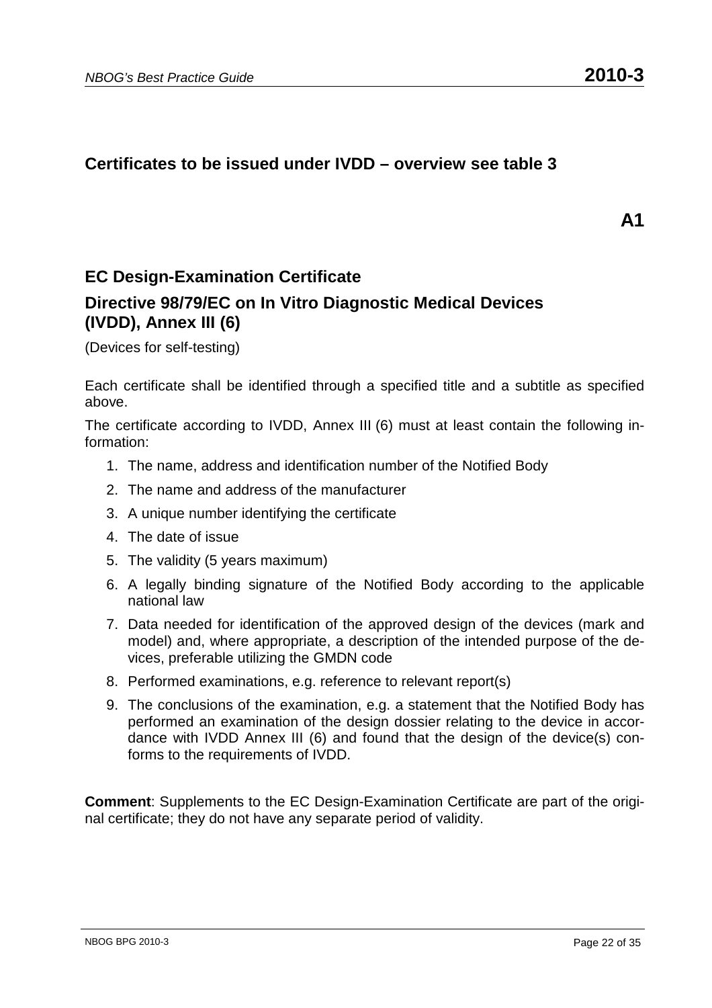#### **Certificates to be issued under IVDD – overview see table 3**

**A1** 

#### **EC Design-Examination Certificate**

#### **Directive 98/79/EC on In Vitro Diagnostic Medical Devices (IVDD), Annex III (6)**

(Devices for self-testing)

Each certificate shall be identified through a specified title and a subtitle as specified above.

The certificate according to IVDD, Annex III (6) must at least contain the following information:

- 1. The name, address and identification number of the Notified Body
- 2. The name and address of the manufacturer
- 3. A unique number identifying the certificate
- 4. The date of issue
- 5. The validity (5 years maximum)
- 6. A legally binding signature of the Notified Body according to the applicable national law
- 7. Data needed for identification of the approved design of the devices (mark and model) and, where appropriate, a description of the intended purpose of the devices, preferable utilizing the GMDN code
- 8. Performed examinations, e.g. reference to relevant report(s)
- 9. The conclusions of the examination, e.g. a statement that the Notified Body has performed an examination of the design dossier relating to the device in accordance with IVDD Annex III (6) and found that the design of the device(s) conforms to the requirements of IVDD.

**Comment**: Supplements to the EC Design-Examination Certificate are part of the original certificate; they do not have any separate period of validity.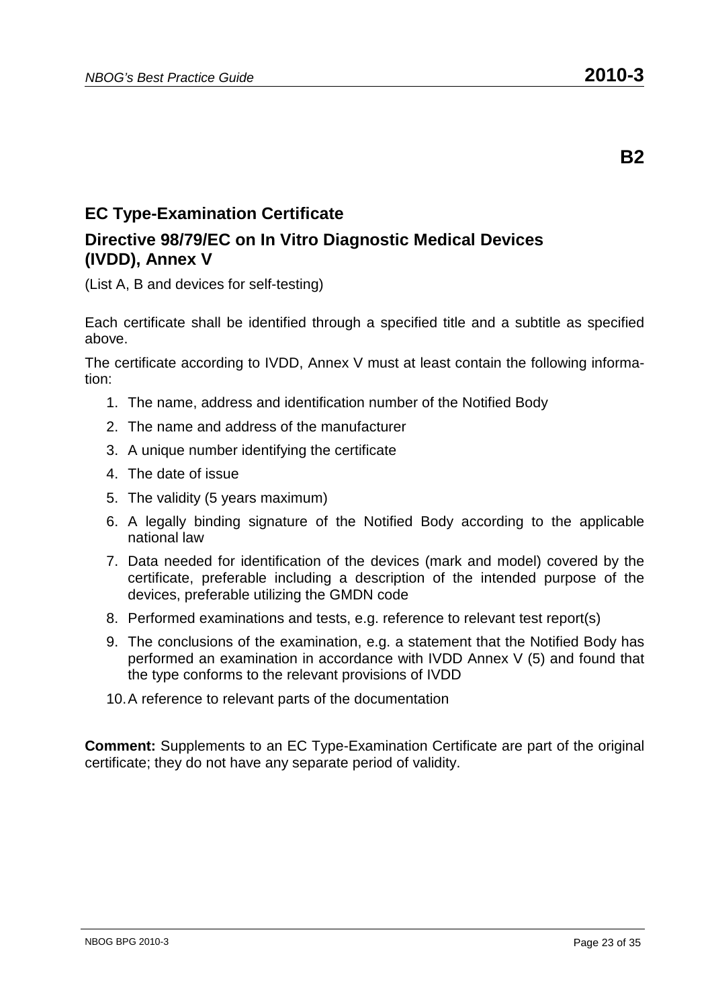# **EC Type-Examination Certificate**

#### **Directive 98/79/EC on In Vitro Diagnostic Medical Devices (IVDD), Annex V**

(List A, B and devices for self-testing)

Each certificate shall be identified through a specified title and a subtitle as specified above.

The certificate according to IVDD, Annex V must at least contain the following information:

- 1. The name, address and identification number of the Notified Body
- 2. The name and address of the manufacturer
- 3. A unique number identifying the certificate
- 4. The date of issue
- 5. The validity (5 years maximum)
- 6. A legally binding signature of the Notified Body according to the applicable national law
- 7. Data needed for identification of the devices (mark and model) covered by the certificate, preferable including a description of the intended purpose of the devices, preferable utilizing the GMDN code
- 8. Performed examinations and tests, e.g. reference to relevant test report(s)
- 9. The conclusions of the examination, e.g. a statement that the Notified Body has performed an examination in accordance with IVDD Annex V (5) and found that the type conforms to the relevant provisions of IVDD
- 10. A reference to relevant parts of the documentation

**Comment:** Supplements to an EC Type-Examination Certificate are part of the original certificate; they do not have any separate period of validity.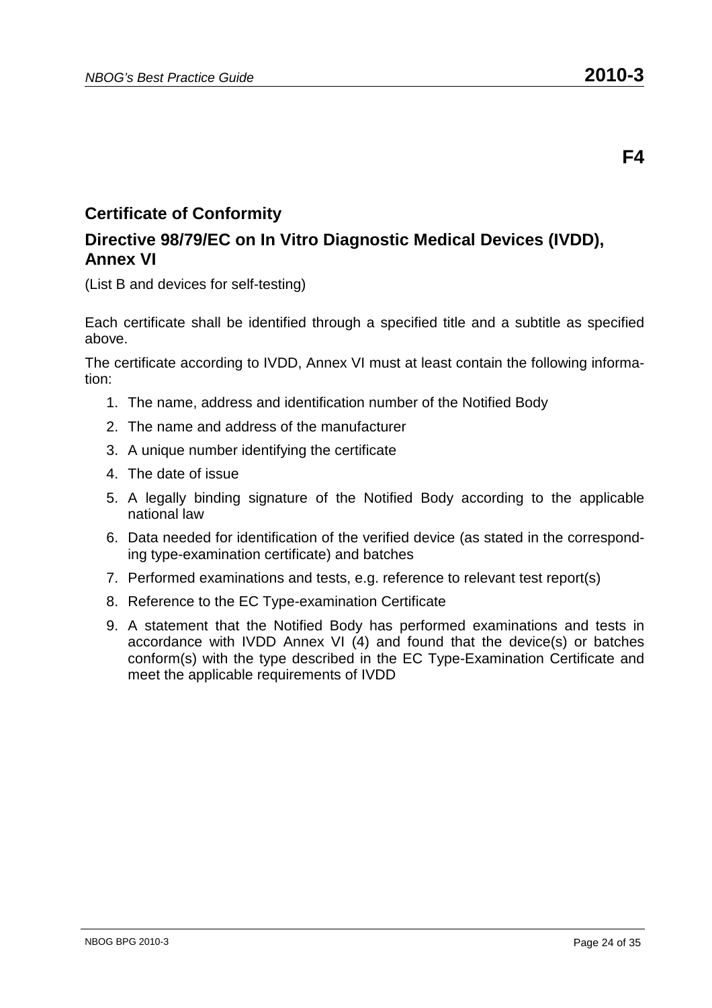### **Directive 98/79/EC on In Vitro Diagnostic Medical Devices (IVDD), Annex VI**

(List B and devices for self-testing)

Each certificate shall be identified through a specified title and a subtitle as specified above.

The certificate according to IVDD, Annex VI must at least contain the following information:

- 1. The name, address and identification number of the Notified Body
- 2. The name and address of the manufacturer
- 3. A unique number identifying the certificate
- 4. The date of issue
- 5. A legally binding signature of the Notified Body according to the applicable national law
- 6. Data needed for identification of the verified device (as stated in the corresponding type-examination certificate) and batches
- 7. Performed examinations and tests, e.g. reference to relevant test report(s)
- 8. Reference to the EC Type-examination Certificate
- 9. A statement that the Notified Body has performed examinations and tests in accordance with IVDD Annex VI (4) and found that the device(s) or batches conform(s) with the type described in the EC Type-Examination Certificate and meet the applicable requirements of IVDD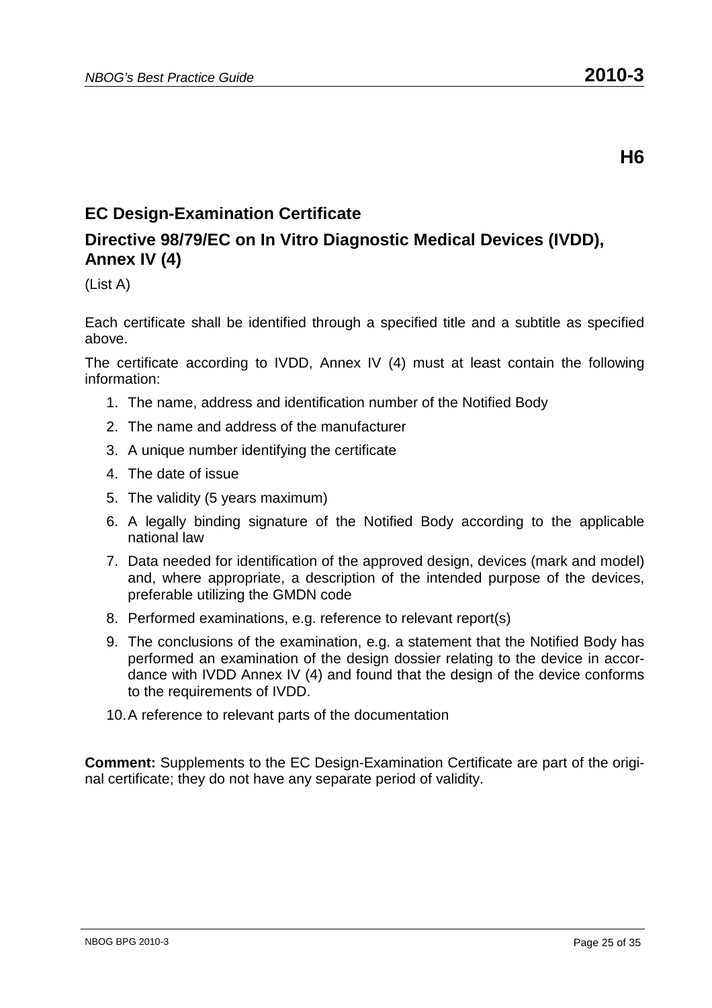# **EC Design-Examination Certificate**

# **Directive 98/79/EC on In Vitro Diagnostic Medical Devices (IVDD), Annex IV (4)**

(List A)

Each certificate shall be identified through a specified title and a subtitle as specified above.

The certificate according to IVDD, Annex IV (4) must at least contain the following information:

- 1. The name, address and identification number of the Notified Body
- 2. The name and address of the manufacturer
- 3. A unique number identifying the certificate
- 4. The date of issue
- 5. The validity (5 years maximum)
- 6. A legally binding signature of the Notified Body according to the applicable national law
- 7. Data needed for identification of the approved design, devices (mark and model) and, where appropriate, a description of the intended purpose of the devices, preferable utilizing the GMDN code
- 8. Performed examinations, e.g. reference to relevant report(s)
- 9. The conclusions of the examination, e.g. a statement that the Notified Body has performed an examination of the design dossier relating to the device in accordance with IVDD Annex IV (4) and found that the design of the device conforms to the requirements of IVDD.
- 10. A reference to relevant parts of the documentation

**Comment:** Supplements to the EC Design-Examination Certificate are part of the original certificate; they do not have any separate period of validity.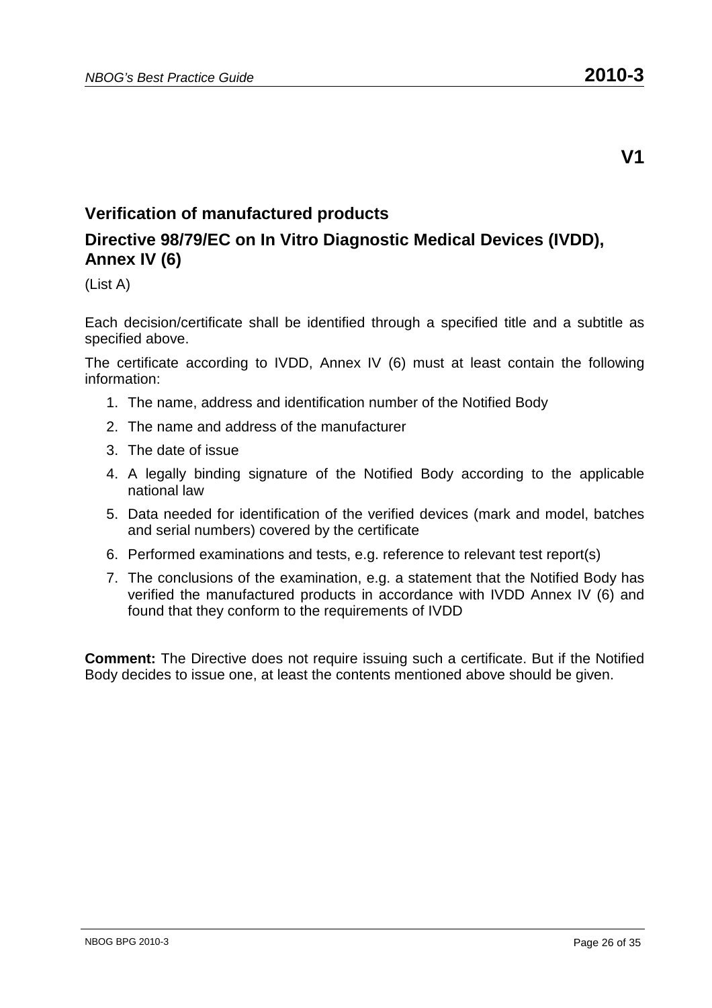### **Verification of manufactured products**

# **Directive 98/79/EC on In Vitro Diagnostic Medical Devices (IVDD), Annex IV (6)**

(List A)

Each decision/certificate shall be identified through a specified title and a subtitle as specified above.

The certificate according to IVDD, Annex IV (6) must at least contain the following information:

- 1. The name, address and identification number of the Notified Body
- 2. The name and address of the manufacturer
- 3. The date of issue
- 4. A legally binding signature of the Notified Body according to the applicable national law
- 5. Data needed for identification of the verified devices (mark and model, batches and serial numbers) covered by the certificate
- 6. Performed examinations and tests, e.g. reference to relevant test report(s)
- 7. The conclusions of the examination, e.g. a statement that the Notified Body has verified the manufactured products in accordance with IVDD Annex IV (6) and found that they conform to the requirements of IVDD

**Comment:** The Directive does not require issuing such a certificate. But if the Notified Body decides to issue one, at least the contents mentioned above should be given.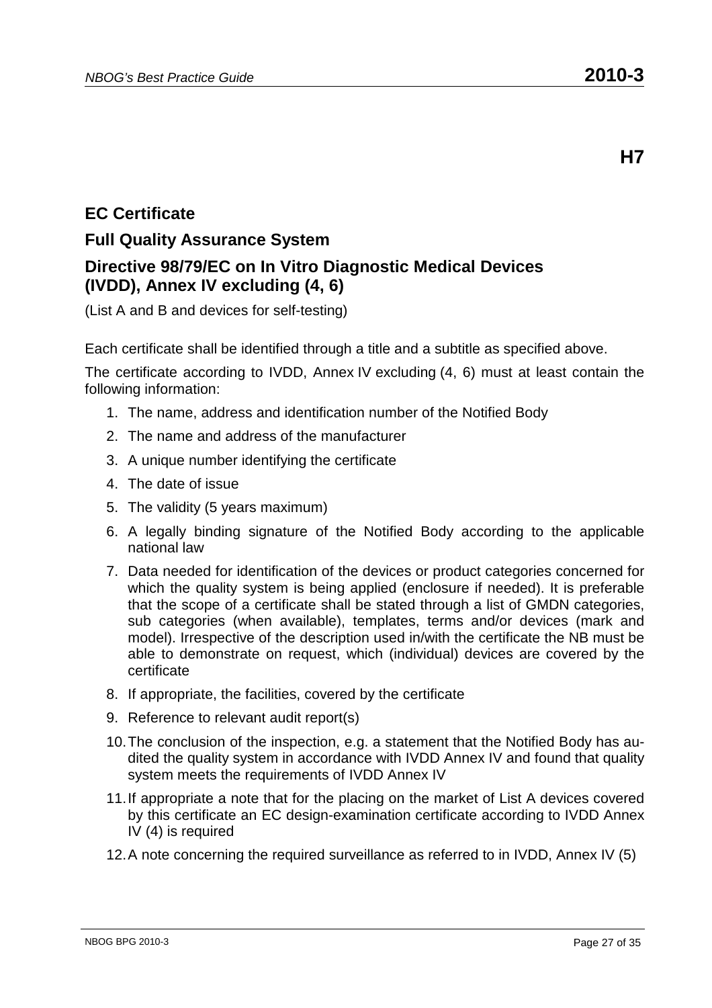# **EC Certificate**

# **Full Quality Assurance System Directive 98/79/EC on In Vitro Diagnostic Medical Devices (IVDD), Annex IV excluding (4, 6)**

(List A and B and devices for self-testing)

Each certificate shall be identified through a title and a subtitle as specified above.

- 1. The name, address and identification number of the Notified Body
- 2. The name and address of the manufacturer
- 3. A unique number identifying the certificate
- 4. The date of issue
- 5. The validity (5 years maximum)
- 6. A legally binding signature of the Notified Body according to the applicable national law
- 7. Data needed for identification of the devices or product categories concerned for which the quality system is being applied (enclosure if needed). It is preferable that the scope of a certificate shall be stated through a list of GMDN categories, sub categories (when available), templates, terms and/or devices (mark and model). Irrespective of the description used in/with the certificate the NB must be able to demonstrate on request, which (individual) devices are covered by the certificate
- 8. If appropriate, the facilities, covered by the certificate
- 9. Reference to relevant audit report(s)
- 10. The conclusion of the inspection, e.g. a statement that the Notified Body has audited the quality system in accordance with IVDD Annex IV and found that quality system meets the requirements of IVDD Annex IV
- 11. If appropriate a note that for the placing on the market of List A devices covered by this certificate an EC design-examination certificate according to IVDD Annex IV (4) is required
- 12. A note concerning the required surveillance as referred to in IVDD, Annex IV (5)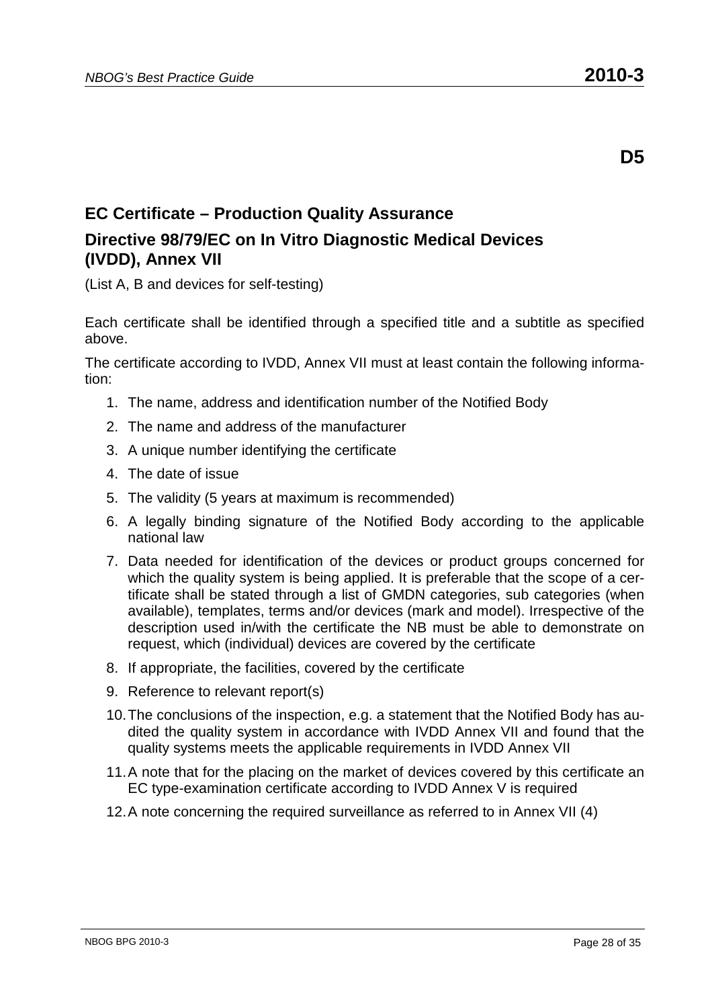# **EC Certificate – Production Quality Assurance Directive 98/79/EC on In Vitro Diagnostic Medical Devices (IVDD), Annex VII**

(List A, B and devices for self-testing)

Each certificate shall be identified through a specified title and a subtitle as specified above.

- 1. The name, address and identification number of the Notified Body
- 2. The name and address of the manufacturer
- 3. A unique number identifying the certificate
- 4. The date of issue
- 5. The validity (5 years at maximum is recommended)
- 6. A legally binding signature of the Notified Body according to the applicable national law
- 7. Data needed for identification of the devices or product groups concerned for which the quality system is being applied. It is preferable that the scope of a certificate shall be stated through a list of GMDN categories, sub categories (when available), templates, terms and/or devices (mark and model). Irrespective of the description used in/with the certificate the NB must be able to demonstrate on request, which (individual) devices are covered by the certificate
- 8. If appropriate, the facilities, covered by the certificate
- 9. Reference to relevant report(s)
- 10. The conclusions of the inspection, e.g. a statement that the Notified Body has audited the quality system in accordance with IVDD Annex VII and found that the quality systems meets the applicable requirements in IVDD Annex VII
- 11. A note that for the placing on the market of devices covered by this certificate an EC type-examination certificate according to IVDD Annex V is required
- 12. A note concerning the required surveillance as referred to in Annex VII (4)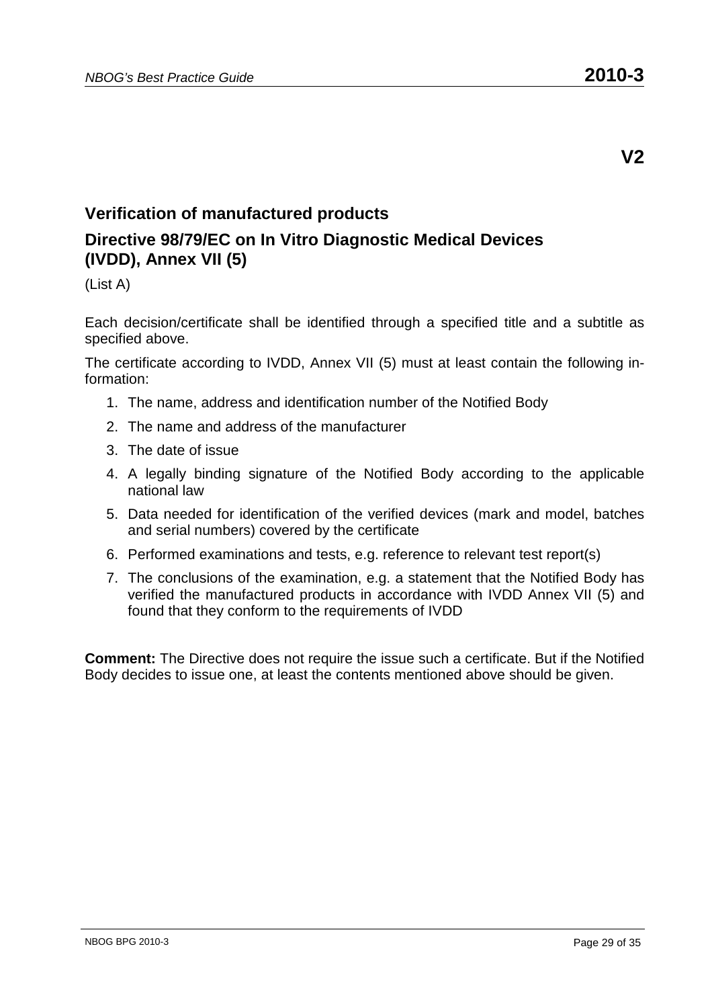### **Verification of manufactured products**

## **Directive 98/79/EC on In Vitro Diagnostic Medical Devices (IVDD), Annex VII (5)**

(List A)

Each decision/certificate shall be identified through a specified title and a subtitle as specified above.

The certificate according to IVDD, Annex VII (5) must at least contain the following information:

- 1. The name, address and identification number of the Notified Body
- 2. The name and address of the manufacturer
- 3. The date of issue
- 4. A legally binding signature of the Notified Body according to the applicable national law
- 5. Data needed for identification of the verified devices (mark and model, batches and serial numbers) covered by the certificate
- 6. Performed examinations and tests, e.g. reference to relevant test report(s)
- 7. The conclusions of the examination, e.g. a statement that the Notified Body has verified the manufactured products in accordance with IVDD Annex VII (5) and found that they conform to the requirements of IVDD

**Comment:** The Directive does not require the issue such a certificate. But if the Notified Body decides to issue one, at least the contents mentioned above should be given.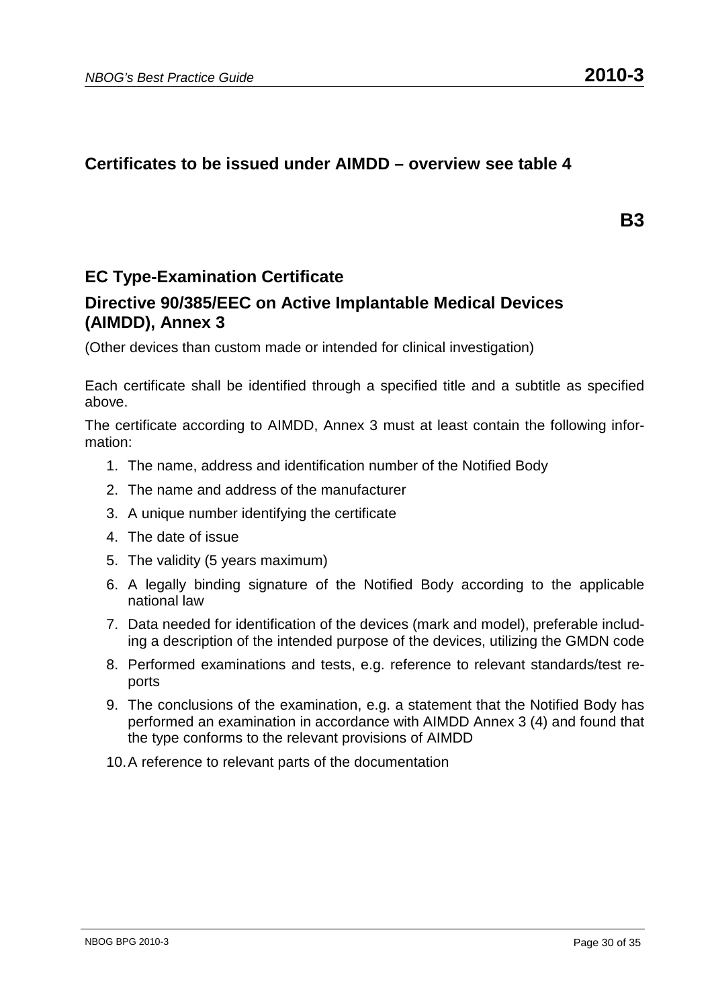#### **Certificates to be issued under AIMDD – overview see table 4**

**B3** 

### **EC Type-Examination Certificate**

#### **Directive 90/385/EEC on Active Implantable Medical Devices (AIMDD), Annex 3**

(Other devices than custom made or intended for clinical investigation)

Each certificate shall be identified through a specified title and a subtitle as specified above.

The certificate according to AIMDD, Annex 3 must at least contain the following information:

- 1. The name, address and identification number of the Notified Body
- 2. The name and address of the manufacturer
- 3. A unique number identifying the certificate
- 4. The date of issue
- 5. The validity (5 years maximum)
- 6. A legally binding signature of the Notified Body according to the applicable national law
- 7. Data needed for identification of the devices (mark and model), preferable including a description of the intended purpose of the devices, utilizing the GMDN code
- 8. Performed examinations and tests, e.g. reference to relevant standards/test reports
- 9. The conclusions of the examination, e.g. a statement that the Notified Body has performed an examination in accordance with AIMDD Annex 3 (4) and found that the type conforms to the relevant provisions of AIMDD
- 10. A reference to relevant parts of the documentation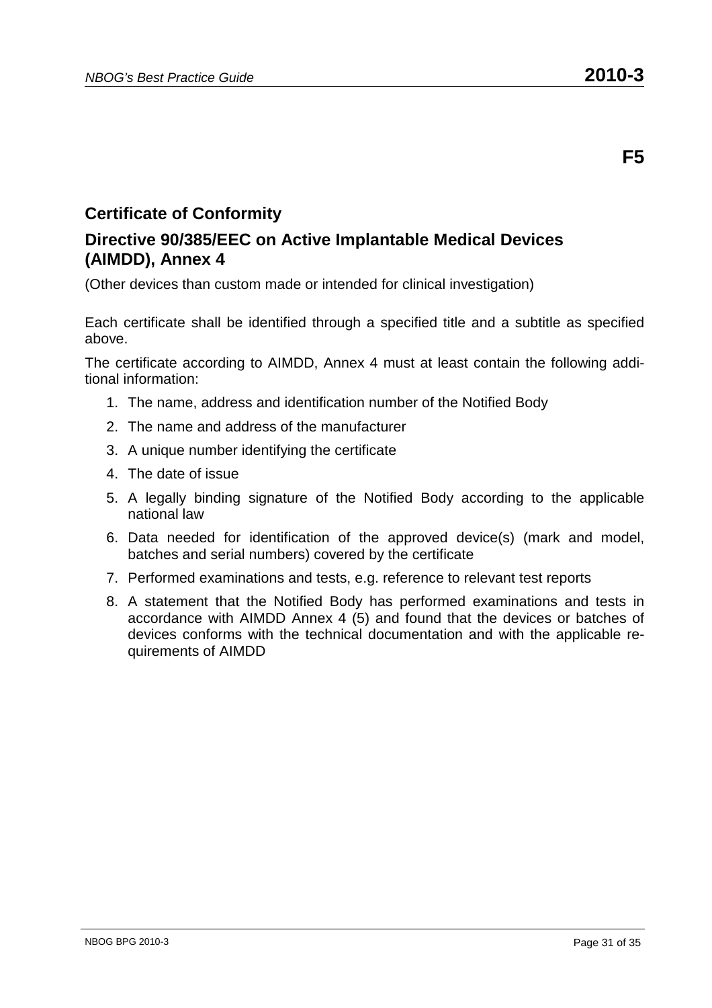#### **Directive 90/385/EEC on Active Implantable Medical Devices (AIMDD), Annex 4**

(Other devices than custom made or intended for clinical investigation)

Each certificate shall be identified through a specified title and a subtitle as specified above.

The certificate according to AIMDD, Annex 4 must at least contain the following additional information:

- 1. The name, address and identification number of the Notified Body
- 2. The name and address of the manufacturer
- 3. A unique number identifying the certificate
- 4. The date of issue
- 5. A legally binding signature of the Notified Body according to the applicable national law
- 6. Data needed for identification of the approved device(s) (mark and model, batches and serial numbers) covered by the certificate
- 7. Performed examinations and tests, e.g. reference to relevant test reports
- 8. A statement that the Notified Body has performed examinations and tests in accordance with AIMDD Annex 4 (5) and found that the devices or batches of devices conforms with the technical documentation and with the applicable requirements of AIMDD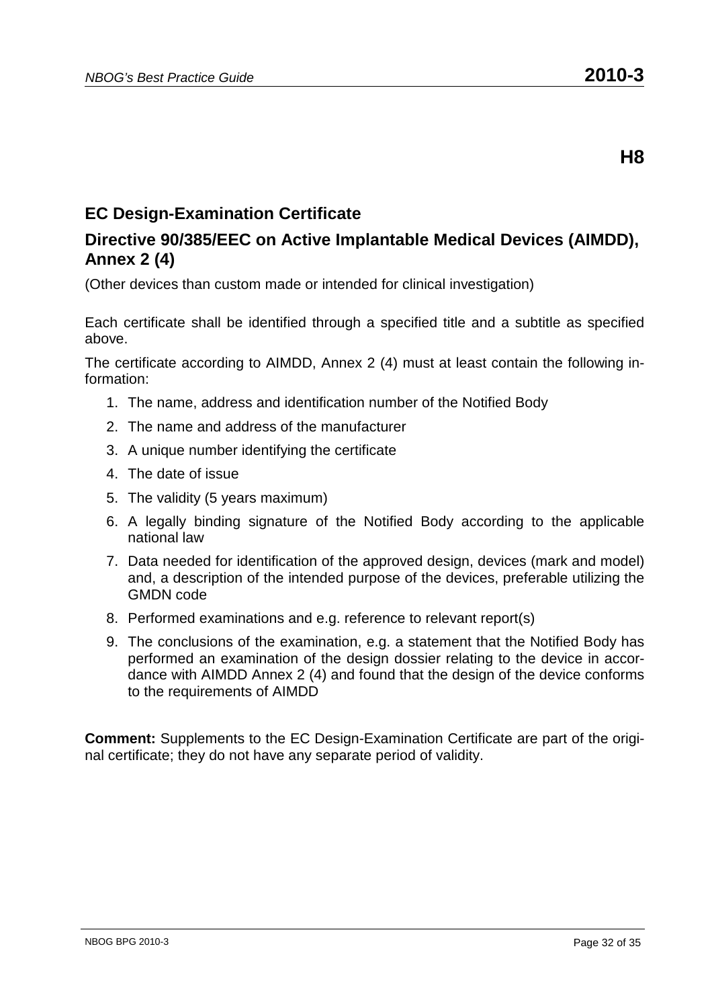# **EC Design-Examination Certificate**

### **Directive 90/385/EEC on Active Implantable Medical Devices (AIMDD), Annex 2 (4)**

(Other devices than custom made or intended for clinical investigation)

Each certificate shall be identified through a specified title and a subtitle as specified above.

The certificate according to AIMDD, Annex 2 (4) must at least contain the following information:

- 1. The name, address and identification number of the Notified Body
- 2. The name and address of the manufacturer
- 3. A unique number identifying the certificate
- 4. The date of issue
- 5. The validity (5 years maximum)
- 6. A legally binding signature of the Notified Body according to the applicable national law
- 7. Data needed for identification of the approved design, devices (mark and model) and, a description of the intended purpose of the devices, preferable utilizing the GMDN code
- 8. Performed examinations and e.g. reference to relevant report(s)
- 9. The conclusions of the examination, e.g. a statement that the Notified Body has performed an examination of the design dossier relating to the device in accordance with AIMDD Annex 2 (4) and found that the design of the device conforms to the requirements of AIMDD

**Comment:** Supplements to the EC Design-Examination Certificate are part of the original certificate; they do not have any separate period of validity.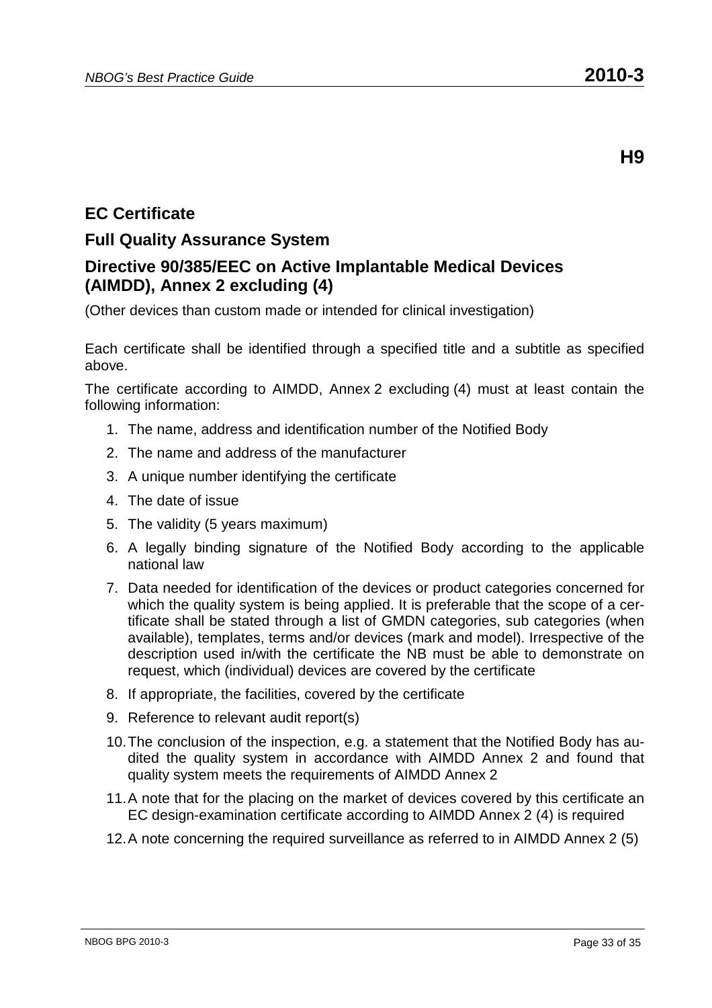# **EC Certificate**

### **Full Quality Assurance System**

### **Directive 90/385/EEC on Active Implantable Medical Devices (AIMDD), Annex 2 excluding (4)**

(Other devices than custom made or intended for clinical investigation)

Each certificate shall be identified through a specified title and a subtitle as specified above.

- 1. The name, address and identification number of the Notified Body
- 2. The name and address of the manufacturer
- 3. A unique number identifying the certificate
- 4. The date of issue
- 5. The validity (5 years maximum)
- 6. A legally binding signature of the Notified Body according to the applicable national law
- 7. Data needed for identification of the devices or product categories concerned for which the quality system is being applied. It is preferable that the scope of a certificate shall be stated through a list of GMDN categories, sub categories (when available), templates, terms and/or devices (mark and model). Irrespective of the description used in/with the certificate the NB must be able to demonstrate on request, which (individual) devices are covered by the certificate
- 8. If appropriate, the facilities, covered by the certificate
- 9. Reference to relevant audit report(s)
- 10. The conclusion of the inspection, e.g. a statement that the Notified Body has audited the quality system in accordance with AIMDD Annex 2 and found that quality system meets the requirements of AIMDD Annex 2
- 11. A note that for the placing on the market of devices covered by this certificate an EC design-examination certificate according to AIMDD Annex 2 (4) is required
- 12. A note concerning the required surveillance as referred to in AIMDD Annex 2 (5)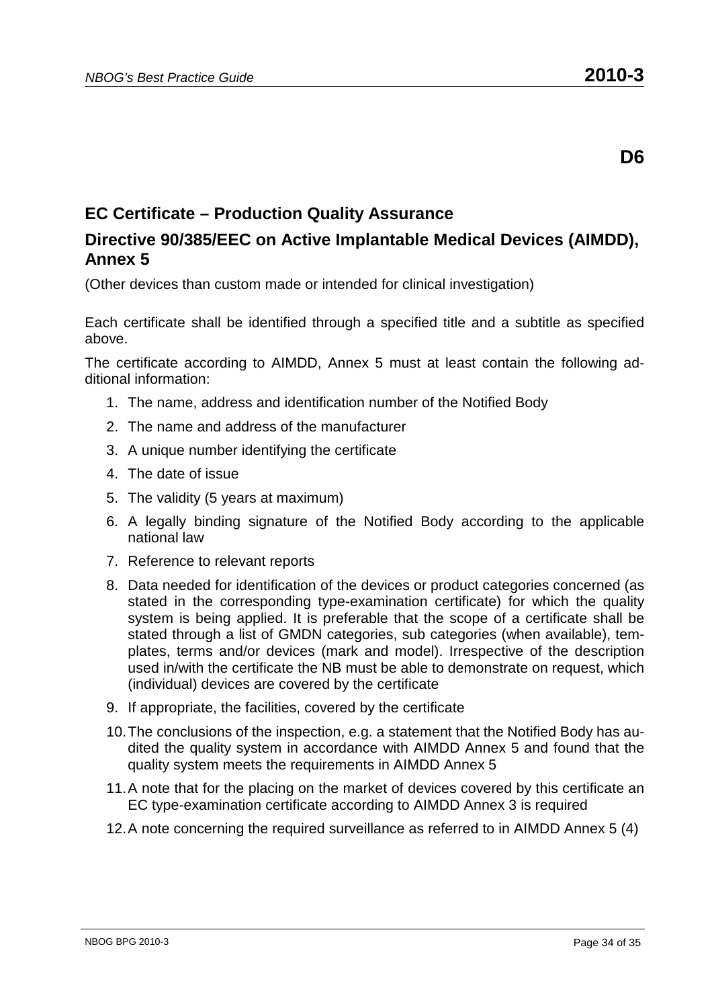## **EC Certificate – Production Quality Assurance**

#### **Directive 90/385/EEC on Active Implantable Medical Devices (AIMDD), Annex 5**

(Other devices than custom made or intended for clinical investigation)

Each certificate shall be identified through a specified title and a subtitle as specified above.

The certificate according to AIMDD, Annex 5 must at least contain the following additional information:

- 1. The name, address and identification number of the Notified Body
- 2. The name and address of the manufacturer
- 3. A unique number identifying the certificate
- 4. The date of issue
- 5. The validity (5 years at maximum)
- 6. A legally binding signature of the Notified Body according to the applicable national law
- 7. Reference to relevant reports
- 8. Data needed for identification of the devices or product categories concerned (as stated in the corresponding type-examination certificate) for which the quality system is being applied. It is preferable that the scope of a certificate shall be stated through a list of GMDN categories, sub categories (when available), templates, terms and/or devices (mark and model). Irrespective of the description used in/with the certificate the NB must be able to demonstrate on request, which (individual) devices are covered by the certificate
- 9. If appropriate, the facilities, covered by the certificate
- 10. The conclusions of the inspection, e.g. a statement that the Notified Body has audited the quality system in accordance with AIMDD Annex 5 and found that the quality system meets the requirements in AIMDD Annex 5
- 11. A note that for the placing on the market of devices covered by this certificate an EC type-examination certificate according to AIMDD Annex 3 is required
- 12. A note concerning the required surveillance as referred to in AIMDD Annex 5 (4)